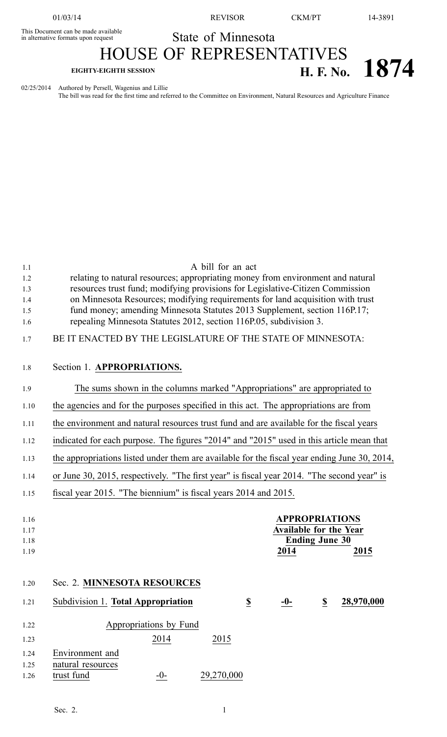01/03/14 REVISOR CKM/PT 14-3891

## State of Minnesota

## This Document can be made available HOUSE OF REPRESENTATIVES

# **EIGHTY-EIGHTH SESSION H. F. No. 1874**

02/25/2014 Authored by Persell, Wagenius and Lillie

The bill was read for the first time and referred to the Committee on Environment, Natural Resources and Agriculture Finance

| 1.1  | A bill for an act                                                                            |
|------|----------------------------------------------------------------------------------------------|
| 1.2  | relating to natural resources; appropriating money from environment and natural              |
| 1.3  | resources trust fund; modifying provisions for Legislative-Citizen Commission                |
| 1.4  | on Minnesota Resources; modifying requirements for land acquisition with trust               |
| 1.5  | fund money; amending Minnesota Statutes 2013 Supplement, section 116P.17;                    |
| 1.6  | repealing Minnesota Statutes 2012, section 116P.05, subdivision 3.                           |
| 1.7  | BE IT ENACTED BY THE LEGISLATURE OF THE STATE OF MINNESOTA:                                  |
| 1.8  | Section 1. APPROPRIATIONS.                                                                   |
| 1.9  | The sums shown in the columns marked "Appropriations" are appropriated to                    |
| 1.10 | the agencies and for the purposes specified in this act. The appropriations are from         |
| 1.11 | the environment and natural resources trust fund and are available for the fiscal years      |
| 1.12 | indicated for each purpose. The figures "2014" and "2015" used in this article mean that     |
| 1.13 | the appropriations listed under them are available for the fiscal year ending June 30, 2014, |
| 1.14 | or June 30, 2015, respectively. "The first year" is fiscal year 2014. "The second year" is   |
| 1.15 | fiscal year 2015. "The biennium" is fiscal years 2014 and 2015.                              |
|      |                                                                                              |
| 1.16 | <b>APPROPRIATIONS</b>                                                                        |
| 1.17 | <b>Available for the Year</b>                                                                |
| 1.18 | <b>Ending June 30</b>                                                                        |
| 1.19 | 2014<br>2015                                                                                 |
| 1.20 | Sec. 2. MINNESOTA RESOURCES                                                                  |
|      |                                                                                              |
| 1.21 | Subdivision 1. Total Appropriation<br>\$<br>\$<br>28,970,000<br>$-0-$                        |
| 1.22 | Appropriations by Fund                                                                       |
| 1.23 | 2014<br>2015                                                                                 |
| 1.24 | Environment and                                                                              |
| 1.25 | natural resources                                                                            |
|      |                                                                                              |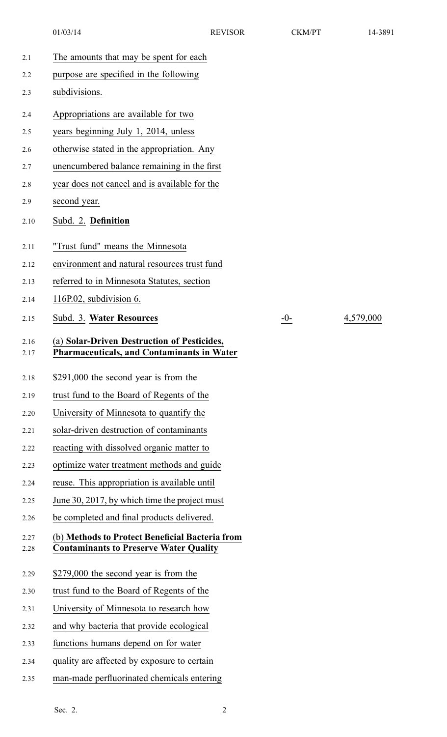01/03/14 REVISOR CKM/PT 14-3891

2.15 Subd. 3. **Water Resources** -0- 4,579,000

| 2.1          | The amounts that may be spent for each                                                           |       |
|--------------|--------------------------------------------------------------------------------------------------|-------|
| 2.2          | purpose are specified in the following                                                           |       |
| 2.3          | subdivisions.                                                                                    |       |
| 2.4          | Appropriations are available for two                                                             |       |
| 2.5          | years beginning July 1, 2014, unless                                                             |       |
| 2.6          | otherwise stated in the appropriation. Any                                                       |       |
| 2.7          | unencumbered balance remaining in the first                                                      |       |
| 2.8          | year does not cancel and is available for the                                                    |       |
| 2.9          | second year.                                                                                     |       |
| 2.10         | Subd. 2. Definition                                                                              |       |
| 2.11         | "Trust fund" means the Minnesota                                                                 |       |
| 2.12         | environment and natural resources trust fund                                                     |       |
| 2.13         | referred to in Minnesota Statutes, section                                                       |       |
| 2.14         | 116P.02, subdivision 6.                                                                          |       |
| 2.15         | Subd. 3. Water Resources                                                                         | $-0-$ |
| 2.16<br>2.17 | (a) Solar-Driven Destruction of Pesticides,<br><b>Pharmaceuticals, and Contaminants in Water</b> |       |
| 2.18         | \$291,000 the second year is from the                                                            |       |
| 2.19         | trust fund to the Board of Regents of the                                                        |       |
| 2.20         | University of Minnesota to quantify the                                                          |       |
| 2.21         | solar-driven destruction of contaminants                                                         |       |
| 2.22         | reacting with dissolved organic matter to                                                        |       |
| 2.23         | optimize water treatment methods and guide                                                       |       |
| 2.24         | reuse. This appropriation is available until                                                     |       |
| 2.25         | June 30, 2017, by which time the project must                                                    |       |
| 2.26         | be completed and final products delivered.                                                       |       |
| 2.27<br>2.28 | (b) Methods to Protect Beneficial Bacteria from<br><b>Contaminants to Preserve Water Quality</b> |       |
| 2.29         | \$279,000 the second year is from the                                                            |       |
| 2.30         | trust fund to the Board of Regents of the                                                        |       |
| 2.31         | University of Minnesota to research how                                                          |       |
|              |                                                                                                  |       |
| 2.32         | and why bacteria that provide ecological                                                         |       |
| 2.33         | functions humans depend on for water                                                             |       |
| 2.34         | quality are affected by exposure to certain                                                      |       |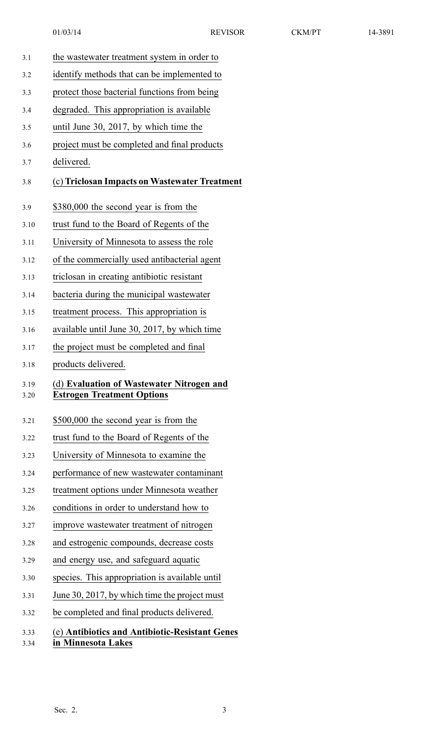3.1 the wastewater treatment system in order to 3.2 identify methods that can be implemented to 3.3 protect those bacterial functions from being 3.4 degraded. This appropriation is available 3.5 until June 30, 2017, by which time the 3.6 project must be completed and final products 3.7 delivered. 3.8 (c) **Triclosan Impacts on Wastewater Treatment** 3.9 \$380,000 the second year is from the 3.10 trust fund to the Board of Regents of the 3.11 University of Minnesota to assess the role 3.12 of the commercially used antibacterial agen<sup>t</sup> 3.13 triclosan in creating antibiotic resistant 3.14 bacteria during the municipal wastewater 3.15 treatment process. This appropriation is 3.16 available until June 30, 2017, by which time 3.17 the project must be completed and final 3.18 products delivered. 3.19 (d) **Evaluation of Wastewater Nitrogen and** 3.20 **Estrogen Treatment Options** 3.21 \$500,000 the second year is from the 3.22 trust fund to the Board of Regents of the 3.23 University of Minnesota to examine the 3.24 performance of new wastewater contaminant 3.25 treatment options under Minnesota weather 3.26 conditions in order to understand how to 3.27 improve wastewater treatment of nitrogen 3.28 and estrogenic compounds, decrease costs 3.29 and energy use, and safeguard aquatic 3.30 species. This appropriation is available until 3.31 June 30, 2017, by which time the project must 3.32 be completed and final products delivered. 3.33 (e) **Antibiotics and Antibiotic-Resistant Genes** 3.34 **in Minnesota Lakes**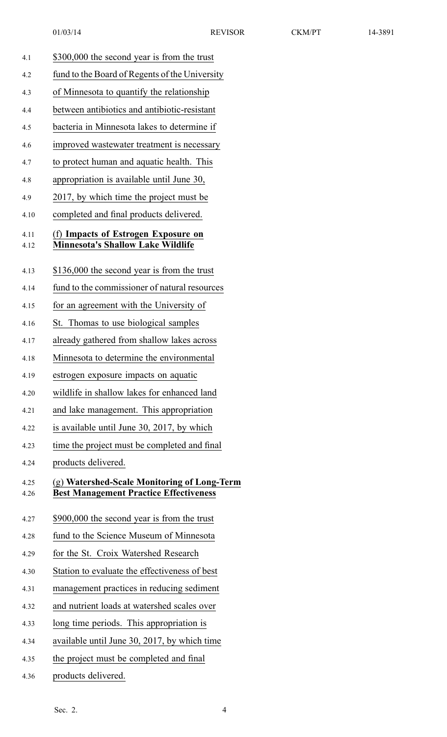- 01/03/14 REVISOR CKM/PT 14-3891 4.1 \$300,000 the second year is from the trust 4.2 fund to the Board of Regents of the University 4.3 of Minnesota to quantify the relationship 4.4 between antibiotics and antibiotic-resistant 4.5 bacteria in Minnesota lakes to determine if 4.6 improved wastewater treatment is necessary 4.7 to protect human and aquatic health. This 4.8 appropriation is available until June 30, 4.9 2017, by which time the project must be 4.10 completed and final products delivered. 4.11 (f) **Impacts of Estrogen Exposure on** 4.12 **Minnesota's Shallow Lake Wildlife** 4.13 \$136,000 the second year is from the trust 4.14 fund to the commissioner of natural resources
- 4.15 for an agreemen<sup>t</sup> with the University of
- 4.16 St. Thomas to use biological samples
- 4.17 already gathered from shallow lakes across
- 4.18 Minnesota to determine the environmental
- 4.19 estrogen exposure impacts on aquatic
- 4.20 wildlife in shallow lakes for enhanced land
- 4.21 and lake management. This appropriation
- 4.22 is available until June 30, 2017, by which
- 4.23 time the project must be completed and final
- 4.24 products delivered.
- 4.25 (g) **Watershed-Scale Monitoring of Long-Term** 4.26 **Best Management Practice Effectiveness**
- 4.27 \$900,000 the second year is from the trust
- 4.28 fund to the Science Museum of Minnesota
- 4.29 for the St. Croix Watershed Research
- 4.30 Station to evaluate the effectiveness of best
- 4.31 managemen<sup>t</sup> practices in reducing sediment
- 4.32 and nutrient loads at watershed scales over
- 4.33 long time periods. This appropriation is
- 4.34 available until June 30, 2017, by which time
- 4.35 the project must be completed and final
- 4.36 products delivered.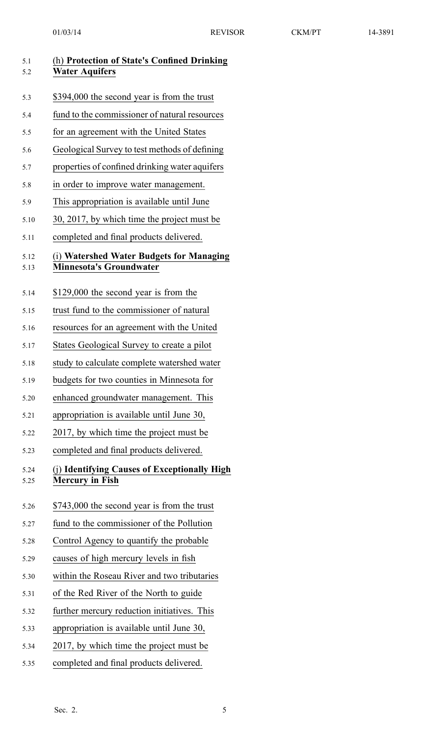| 5.1<br>5.2   | (h) Protection of State's Confined Drinking<br><b>Water Aquifers</b>       |
|--------------|----------------------------------------------------------------------------|
| 5.3          | \$394,000 the second year is from the trust                                |
| 5.4          | fund to the commissioner of natural resources                              |
| 5.5          | for an agreement with the United States                                    |
| 5.6          | Geological Survey to test methods of defining                              |
| 5.7          | properties of confined drinking water aquifers                             |
| 5.8          | in order to improve water management.                                      |
| 5.9          | This appropriation is available until June                                 |
| 5.10         | 30, 2017, by which time the project must be                                |
| 5.11         | completed and final products delivered.                                    |
| 5.12<br>5.13 | (i) Watershed Water Budgets for Managing<br><b>Minnesota's Groundwater</b> |
| 5.14         | \$129,000 the second year is from the                                      |
| 5.15         | trust fund to the commissioner of natural                                  |
| 5.16         | resources for an agreement with the United                                 |
| 5.17         | States Geological Survey to create a pilot                                 |
| 5.18         | study to calculate complete watershed water                                |
| 5.19         | budgets for two counties in Minnesota for                                  |
| 5.20         | enhanced groundwater management. This                                      |
| 5.21         | appropriation is available until June 30,                                  |
| 5.22         | 2017, by which time the project must be                                    |
| 5.23         | completed and final products delivered.                                    |
| 5.24<br>5.25 | (j) Identifying Causes of Exceptionally High<br><b>Mercury in Fish</b>     |
| 5.26         | \$743,000 the second year is from the trust                                |
| 5.27         | fund to the commissioner of the Pollution                                  |
| 5.28         | Control Agency to quantify the probable                                    |
| 5.29         | causes of high mercury levels in fish                                      |
| 5.30         | within the Roseau River and two tributaries                                |
| 5.31         | of the Red River of the North to guide                                     |
| 5.32         | further mercury reduction initiatives. This                                |
| 5.33         | appropriation is available until June 30,                                  |
| 5.34         | 2017, by which time the project must be                                    |
| 5.35         | completed and final products delivered.                                    |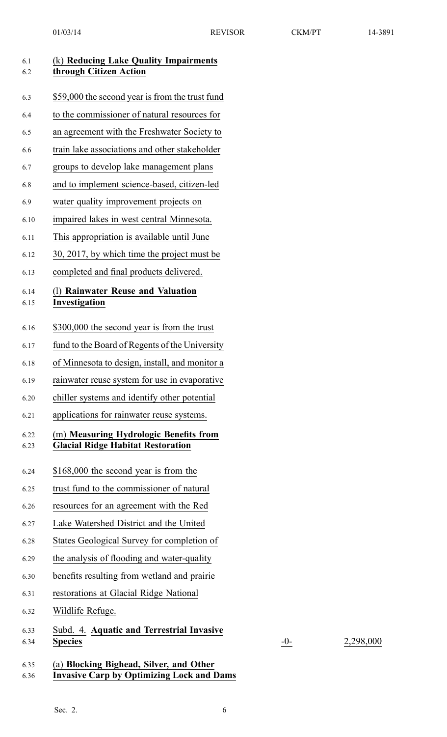| 6.1<br>6.2   | (k) Reducing Lake Quality Impairments<br>through Citizen Action                             |
|--------------|---------------------------------------------------------------------------------------------|
| 6.3          | \$59,000 the second year is from the trust fund                                             |
| 6.4          | to the commissioner of natural resources for                                                |
| 6.5          | an agreement with the Freshwater Society to                                                 |
| 6.6          | train lake associations and other stakeholder                                               |
| 6.7          | groups to develop lake management plans                                                     |
| 6.8          | and to implement science-based, citizen-led                                                 |
| 6.9          | water quality improvement projects on                                                       |
| 6.10         | impaired lakes in west central Minnesota.                                                   |
| 6.11         | This appropriation is available until June                                                  |
| 6.12         | 30, 2017, by which time the project must be                                                 |
| 6.13         | completed and final products delivered.                                                     |
| 6.14<br>6.15 | (1) Rainwater Reuse and Valuation<br>Investigation                                          |
| 6.16         | \$300,000 the second year is from the trust                                                 |
| 6.17         | fund to the Board of Regents of the University                                              |
| 6.18         | of Minnesota to design, install, and monitor a                                              |
| 6.19         | rainwater reuse system for use in evaporative                                               |
| 6.20         | chiller systems and identify other potential                                                |
| 6.21         | applications for rainwater reuse systems.                                                   |
| 6.22<br>6.23 | (m) Measuring Hydrologic Benefits from<br><b>Glacial Ridge Habitat Restoration</b>          |
| 6.24         | \$168,000 the second year is from the                                                       |
| 6.25         | trust fund to the commissioner of natural                                                   |
| 6.26         | resources for an agreement with the Red                                                     |
| 6.27         | Lake Watershed District and the United                                                      |
| 6.28         | States Geological Survey for completion of                                                  |
| 6.29         | the analysis of flooding and water-quality                                                  |
| 6.30         | benefits resulting from wetland and prairie                                                 |
| 6.31         | restorations at Glacial Ridge National                                                      |
| 6.32         | Wildlife Refuge.                                                                            |
| 6.33<br>6.34 | Subd. 4. Aquatic and Terrestrial Invasive<br><b>Species</b>                                 |
| 6.35<br>6.36 | (a) Blocking Bighead, Silver, and Other<br><b>Invasive Carp by Optimizing Lock and Dams</b> |

Sec. 2. 6

6.34 **Species** -0- 2,298,000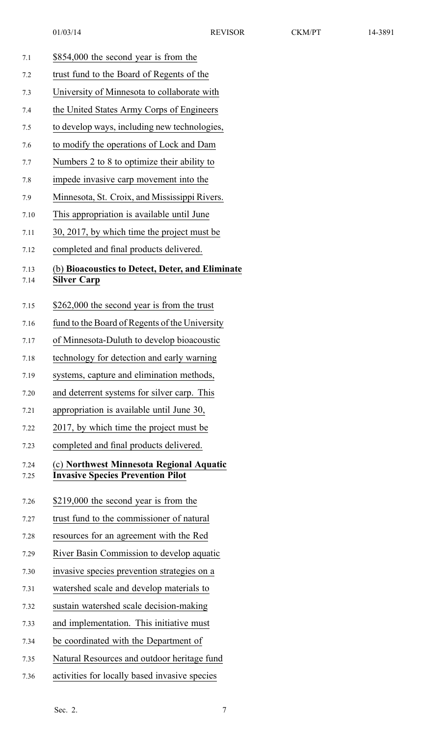| \$854,000 the second year is from the        |
|----------------------------------------------|
| trust fund to the Board of Regents of the    |
| University of Minnesota to collaborate with  |
| the United States Army Corps of Engineers    |
| to develop ways, including new technologies, |
| to modify the operations of Lock and Dam     |
| Numbers 2 to 8 to optimize their ability to  |
| impede invasive carp movement into the       |
|                                              |

- 7.9 Minnesota, St. Croix, and Mississippi Rivers.
- 7.10 This appropriation is available until June

- 7.11 30, 2017, by which time the project must be
- 7.12 completed and final products delivered.

### 7.13 (b) **Bioacoustics to Detect, Deter, and Eliminate**

#### 7.14 **Silver Carp**

- 7.15 \$262,000 the second year is from the trust
- 7.16 fund to the Board of Regents of the University
- 7.17 of Minnesota-Duluth to develop bioacoustic
- 7.18 technology for detection and early warning
- 7.19 systems, capture and elimination methods,
- 7.20 and deterrent systems for silver carp. This
- 7.21 appropriation is available until June 30,
- 7.22 2017, by which time the project must be
- 7.23 completed and final products delivered.

#### 7.24 (c) **Northwest Minnesota Regional Aquatic** 7.25 **Invasive Species Prevention Pilot**

- 7.26 \$219,000 the second year is from the
- 7.27 trust fund to the commissioner of natural
- 7.28 resources for an agreemen<sup>t</sup> with the Red
- 7.29 River Basin Commission to develop aquatic
- 7.30 invasive species prevention strategies on <sup>a</sup>
- 7.31 watershed scale and develop materials to
- 7.32 sustain watershed scale decision-making
- 7.33 and implementation. This initiative must
- 7.34 be coordinated with the Department of
- 7.35 Natural Resources and outdoor heritage fund
- 7.36 activities for locally based invasive species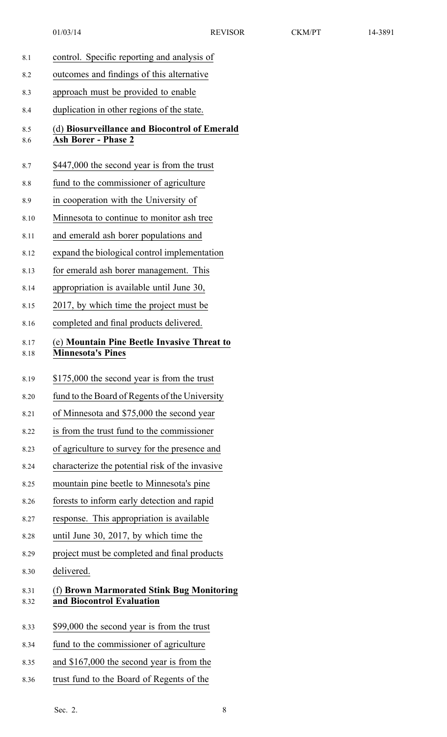- 8.1 control. Specific reporting and analysis of 8.2 outcomes and findings of this alternative 8.3 approach must be provided to enable 8.4 duplication in other regions of the state. 8.5 (d) **Biosurveillance and Biocontrol of Emerald** 8.6 **Ash Borer - Phase 2** 8.7 \$447,000 the second year is from the trust 8.8 fund to the commissioner of agriculture 8.9 in cooperation with the University of 8.10 Minnesota to continue to monitor ash tree 8.11 and emerald ash borer populations and 8.12 expand the biological control implementation 8.13 for emerald ash borer management. This 8.14 appropriation is available until June 30, 8.15 2017, by which time the project must be 8.16 completed and final products delivered. 8.17 (e) **Mountain Pine Beetle Invasive Threat to** 8.18 **Minnesota's Pines** 8.19 \$175,000 the second year is from the trust 8.20 fund to the Board of Regents of the University 8.21 of Minnesota and \$75,000 the second year 8.22 is from the trust fund to the commissioner 8.23 of agriculture to survey for the presence and 8.24 characterize the potential risk of the invasive 8.25 mountain pine beetle to Minnesota's pine 8.26 forests to inform early detection and rapid 8.27 response. This appropriation is available 8.28 until June 30, 2017, by which time the 8.29 project must be completed and final products 8.30 delivered. 8.31 (f) **Brown Marmorated Stink Bug Monitoring** 8.32 **and Biocontrol Evaluation** 8.33 \$99,000 the second year is from the trust
- 8.34 fund to the commissioner of agriculture
- 8.35 and \$167,000 the second year is from the
- 8.36 trust fund to the Board of Regents of the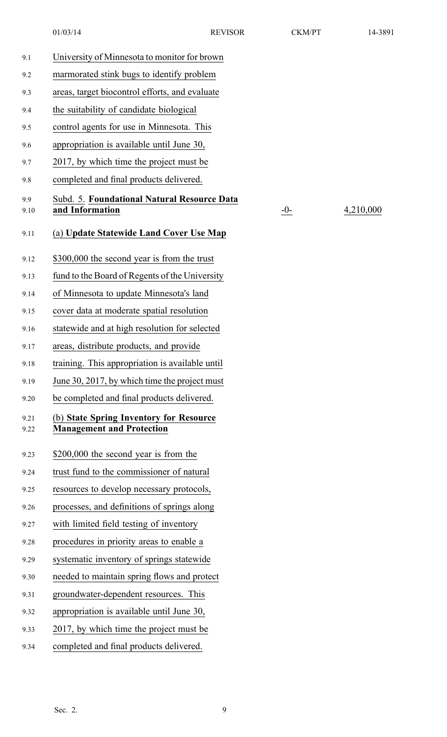01/03/14 REVISOR CKM/PT 14-3891

| 9.1          | University of Minnesota to monitor for brown                                |
|--------------|-----------------------------------------------------------------------------|
| 9.2          | marmorated stink bugs to identify problem                                   |
| 9.3          | areas, target biocontrol efforts, and evaluate                              |
| 9.4          | the suitability of candidate biological                                     |
| 9.5          | control agents for use in Minnesota. This                                   |
| 9.6          | appropriation is available until June 30,                                   |
| 9.7          | 2017, by which time the project must be                                     |
| 9.8          | completed and final products delivered.                                     |
| 9.9<br>9.10  | Subd. 5. Foundational Natural Resource Data<br>and Information              |
| 9.11         | (a) Update Statewide Land Cover Use Map                                     |
| 9.12         | \$300,000 the second year is from the trust                                 |
| 9.13         | fund to the Board of Regents of the University                              |
| 9.14         | of Minnesota to update Minnesota's land                                     |
| 9.15         | cover data at moderate spatial resolution                                   |
| 9.16         | statewide and at high resolution for selected                               |
| 9.17         | areas, distribute products, and provide                                     |
| 9.18         | training. This appropriation is available until                             |
| 9.19         | June 30, 2017, by which time the project must                               |
| 9.20         | be completed and final products delivered.                                  |
| 9.21<br>9.22 | (b) State Spring Inventory for Resource<br><b>Management and Protection</b> |
| 9.23         | \$200,000 the second year is from the                                       |
| 9.24         | trust fund to the commissioner of natural                                   |
| 9.25         | resources to develop necessary protocols,                                   |
| 9.26         | processes, and definitions of springs along                                 |
| 9.27         | with limited field testing of inventory                                     |
| 9.28         | procedures in priority areas to enable a                                    |
| 9.29         | systematic inventory of springs statewide                                   |
| 9.30         | needed to maintain spring flows and protect                                 |
| 9.31         | groundwater-dependent resources. This                                       |
| 9.32         | appropriation is available until June 30,                                   |
| 9.33         | 2017, by which time the project must be                                     |
| 9.34         | completed and final products delivered.                                     |

9.10 **and Information** -0- 4,210,000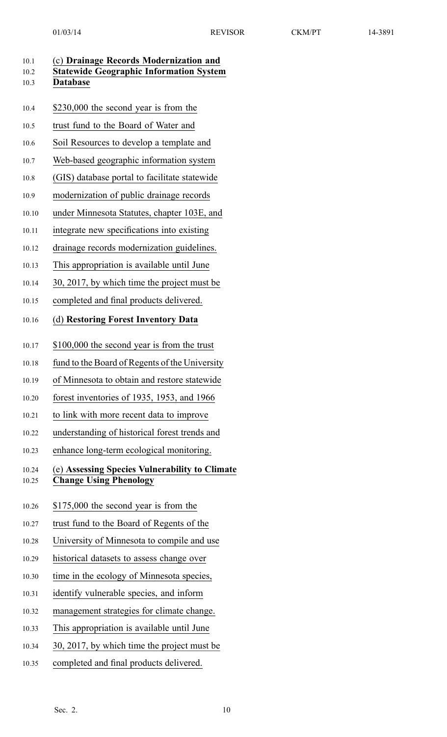| 10.1<br>10.2<br>10.3 | (c) Drainage Records Modernization and<br><b>Statewide Geographic Information System</b><br><b>Database</b> |
|----------------------|-------------------------------------------------------------------------------------------------------------|
| 10.4                 | \$230,000 the second year is from the                                                                       |
| 10.5                 | trust fund to the Board of Water and                                                                        |
| 10.6                 | Soil Resources to develop a template and                                                                    |
| 10.7                 | Web-based geographic information system                                                                     |
| 10.8                 | (GIS) database portal to facilitate statewide                                                               |
| 10.9                 | modernization of public drainage records                                                                    |
| 10.10                | under Minnesota Statutes, chapter 103E, and                                                                 |
| 10.11                | integrate new specifications into existing                                                                  |
| 10.12                | drainage records modernization guidelines.                                                                  |
| 10.13                | This appropriation is available until June                                                                  |
| 10.14                | 30, 2017, by which time the project must be                                                                 |
| 10.15                | completed and final products delivered.                                                                     |
| 10.16                | (d) Restoring Forest Inventory Data                                                                         |
| 10.17                | \$100,000 the second year is from the trust                                                                 |
| 10.18                | fund to the Board of Regents of the University                                                              |
| 10.19                | of Minnesota to obtain and restore statewide                                                                |
| 10.20                | forest inventories of 1935, 1953, and 1966                                                                  |
| 10.21                | to link with more recent data to improve                                                                    |
| 10.22                | understanding of historical forest trends and                                                               |
| 10.23                | enhance long-term ecological monitoring.                                                                    |
| 10.24<br>10.25       | (e) Assessing Species Vulnerability to Climate<br><b>Change Using Phenology</b>                             |
| 10.26                | \$175,000 the second year is from the                                                                       |
| 10.27                | trust fund to the Board of Regents of the                                                                   |
| 10.28                | University of Minnesota to compile and use                                                                  |
| 10.29                | historical datasets to assess change over                                                                   |
| 10.30                | time in the ecology of Minnesota species,                                                                   |
| 10.31                | identify vulnerable species, and inform                                                                     |
| 10.32                | management strategies for climate change.                                                                   |
| 10.33                | This appropriation is available until June                                                                  |
| 10.34                | 30, 2017, by which time the project must be                                                                 |

10.35 completed and final products delivered.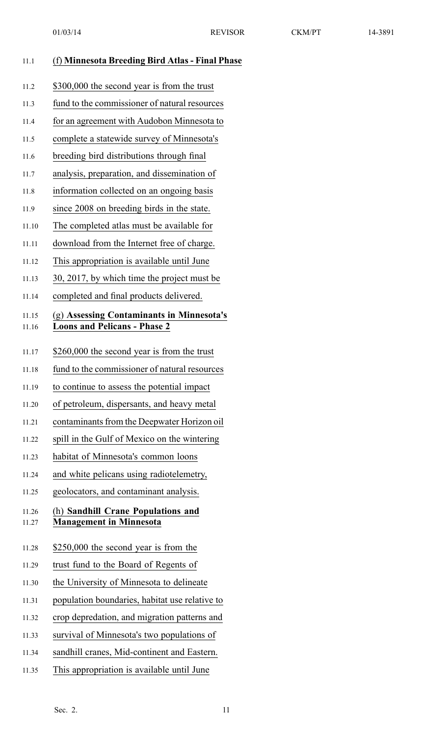|                | 01/03/14                                                                         | <b>REVISOR</b> | <b>CKM/PT</b> | 14-3891 |
|----------------|----------------------------------------------------------------------------------|----------------|---------------|---------|
| 11.1           | (f) Minnesota Breeding Bird Atlas - Final Phase                                  |                |               |         |
| 11.2           | \$300,000 the second year is from the trust                                      |                |               |         |
| 11.3           | fund to the commissioner of natural resources                                    |                |               |         |
| 11.4           | for an agreement with Audobon Minnesota to                                       |                |               |         |
| 11.5           | complete a statewide survey of Minnesota's                                       |                |               |         |
| 11.6           | breeding bird distributions through final                                        |                |               |         |
| 11.7           | analysis, preparation, and dissemination of                                      |                |               |         |
| 11.8           | information collected on an ongoing basis                                        |                |               |         |
| 11.9           | since 2008 on breeding birds in the state.                                       |                |               |         |
| 11.10          | The completed atlas must be available for                                        |                |               |         |
| 11.11          | download from the Internet free of charge.                                       |                |               |         |
| 11.12          | This appropriation is available until June                                       |                |               |         |
| 11.13          | 30, 2017, by which time the project must be                                      |                |               |         |
| 11.14          | completed and final products delivered.                                          |                |               |         |
| 11.15<br>11.16 | (g) Assessing Contaminants in Minnesota's<br><b>Loons and Pelicans - Phase 2</b> |                |               |         |
| 11.17          | \$260,000 the second year is from the trust                                      |                |               |         |
| 11.18          | fund to the commissioner of natural resources                                    |                |               |         |
| 11.19          | to continue to assess the potential impact                                       |                |               |         |
| 11.20          | of petroleum, dispersants, and heavy metal                                       |                |               |         |
| 11.21          | contaminants from the Deepwater Horizon oil                                      |                |               |         |
| 11.22          | spill in the Gulf of Mexico on the wintering                                     |                |               |         |

- 11.23 habitat of Minnesota's common loons
- 11.24 and white pelicans using radiotelemetry,
- 11.25 geolocators, and contaminant analysis.

#### 11.26 (h) **Sandhill Crane Populations and** 11.27 **Management in Minnesota**

- 11.28 \$250,000 the second year is from the
- 11.29 trust fund to the Board of Regents of
- 11.30 the University of Minnesota to delineate
- 11.31 population boundaries, habitat use relative to
- 11.32 crop depredation, and migration patterns and
- 11.33 survival of Minnesota's two populations of
- 11.34 sandhill cranes, Mid-continent and Eastern.
- 11.35 This appropriation is available until June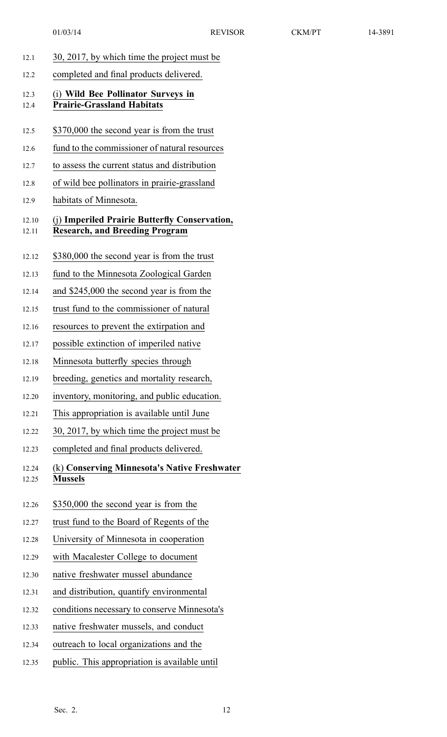| 30, 2017, by which time the project must be                                            |
|----------------------------------------------------------------------------------------|
| completed and final products delivered.                                                |
| (i) Wild Bee Pollinator Surveys in<br><b>Prairie-Grassland Habitats</b>                |
| \$370,000 the second year is from the trust                                            |
| fund to the commissioner of natural resources                                          |
| to assess the current status and distribution                                          |
| of wild bee pollinators in prairie-grassland                                           |
| habitats of Minnesota.                                                                 |
| (j) Imperiled Prairie Butterfly Conservation,<br><b>Research, and Breeding Program</b> |
| \$380,000 the second year is from the trust                                            |
| fund to the Minnesota Zoological Garden                                                |
| and \$245,000 the second year is from the                                              |
| trust fund to the commissioner of natural                                              |
| resources to prevent the extirpation and                                               |
| possible extinction of imperiled native                                                |
| Minnesota butterfly species through.                                                   |
| breeding, genetics and mortality research,                                             |
| inventory, monitoring, and public education.                                           |
| This appropriation is available until June                                             |
| 30, 2017, by which time the project must be                                            |
| completed and final products delivered.                                                |
| (k) Conserving Minnesota's Native Freshwater<br><b>Mussels</b>                         |
| \$350,000 the second year is from the                                                  |
| trust fund to the Board of Regents of the                                              |
| University of Minnesota in cooperation                                                 |
| with Macalester College to document                                                    |
| native freshwater mussel abundance                                                     |
| and distribution, quantify environmental                                               |
| conditions necessary to conserve Minnesota's                                           |
| native freshwater mussels, and conduct                                                 |
| outreach to local organizations and the                                                |
|                                                                                        |

12.35 public. This appropriation is available until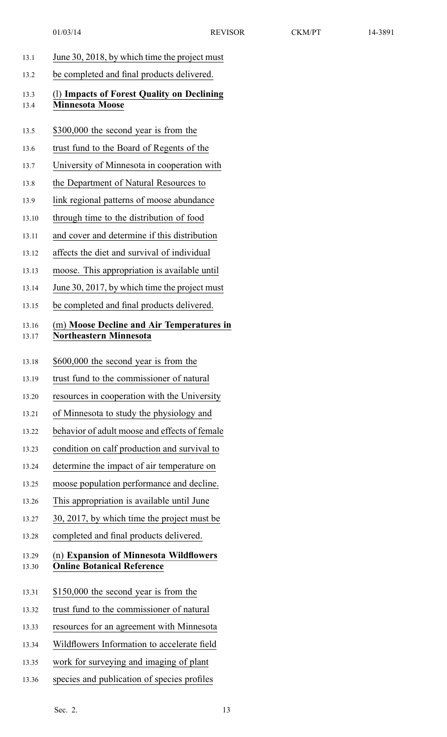| June 30, 2018, by which time the project must<br>be completed and final products delivered.<br>(1) Impacts of Forest Quality on Declining |
|-------------------------------------------------------------------------------------------------------------------------------------------|
|                                                                                                                                           |
|                                                                                                                                           |
| \$300,000 the second year is from the                                                                                                     |
| trust fund to the Board of Regents of the                                                                                                 |
| University of Minnesota in cooperation with                                                                                               |
| the Department of Natural Resources to                                                                                                    |
| link regional patterns of moose abundance                                                                                                 |
| through time to the distribution of food                                                                                                  |
| and cover and determine if this distribution                                                                                              |
| affects the diet and survival of individual                                                                                               |
| moose. This appropriation is available until                                                                                              |
| June 30, 2017, by which time the project must                                                                                             |
| be completed and final products delivered.                                                                                                |
| (m) Moose Decline and Air Temperatures in                                                                                                 |
| \$600,000 the second year is from the                                                                                                     |
| trust fund to the commissioner of natural                                                                                                 |
| resources in cooperation with the University                                                                                              |
| of Minnesota to study the physiology and                                                                                                  |
| behavior of adult moose and effects of female                                                                                             |
|                                                                                                                                           |
| condition on calf production and survival to                                                                                              |
| determine the impact of air temperature on                                                                                                |
| moose population performance and decline.                                                                                                 |
| This appropriation is available until June                                                                                                |
| 30, 2017, by which time the project must be                                                                                               |
| completed and final products delivered.                                                                                                   |
| (n) Expansion of Minnesota Wildflowers                                                                                                    |
| \$150,000 the second year is from the                                                                                                     |
| trust fund to the commissioner of natural                                                                                                 |
| resources for an agreement with Minnesota                                                                                                 |
| Wildflowers Information to accelerate field                                                                                               |
| work for surveying and imaging of plant                                                                                                   |
|                                                                                                                                           |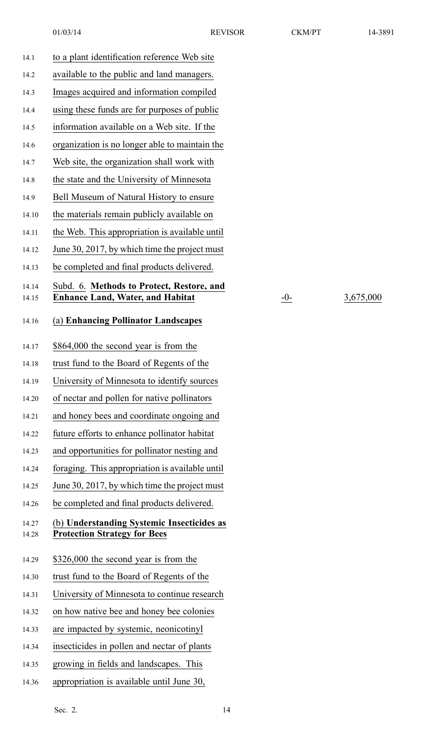14.15 **Enhance Land, Water, and Habitat** -0- 3,675,000

| 14.1           | to a plant identification reference Web site                                         |
|----------------|--------------------------------------------------------------------------------------|
| 14.2           | available to the public and land managers.                                           |
| 14.3           | Images acquired and information compiled                                             |
| 14.4           | using these funds are for purposes of public                                         |
| 14.5           | information available on a Web site. If the                                          |
| 14.6           | organization is no longer able to maintain the                                       |
| 14.7           | Web site, the organization shall work with                                           |
| 14.8           | the state and the University of Minnesota                                            |
| 14.9           | Bell Museum of Natural History to ensure                                             |
| 14.10          | the materials remain publicly available on                                           |
| 14.11          | the Web. This appropriation is available until                                       |
| 14.12          | June 30, 2017, by which time the project must                                        |
| 14.13          | be completed and final products delivered.                                           |
| 14.14<br>14.15 | Subd. 6. Methods to Protect, Restore, and<br><b>Enhance Land, Water, and Habitat</b> |
|                |                                                                                      |
| 14.16          | (a) Enhancing Pollinator Landscapes                                                  |
| 14.17          | \$864,000 the second year is from the                                                |
| 14.18          | trust fund to the Board of Regents of the                                            |
| 14.19          | University of Minnesota to identify sources                                          |
| 14.20          | of nectar and pollen for native pollinators                                          |
| 14.21          | and honey bees and coordinate ongoing and                                            |
| 14.22          | future efforts to enhance pollinator habitat                                         |
| 14.23          | and opportunities for pollinator nesting and                                         |
| 14.24          | foraging. This appropriation is available until                                      |
| 14.25          | June 30, 2017, by which time the project must                                        |
| 14.26          | be completed and final products delivered.                                           |
| 14.27<br>14.28 | (b) Understanding Systemic Insecticides as<br><b>Protection Strategy for Bees</b>    |
| 14.29          | \$326,000 the second year is from the                                                |
| 14.30          | trust fund to the Board of Regents of the                                            |
| 14.31          | University of Minnesota to continue research                                         |
| 14.32          | on how native bee and honey bee colonies                                             |
| 14.33          | are impacted by systemic, neonicotinyl                                               |
| 14.34          | insecticides in pollen and nectar of plants                                          |
| 14.35          | growing in fields and landscapes. This                                               |
| 14.36          | appropriation is available until June 30,                                            |
|                |                                                                                      |

Sec. 2. 14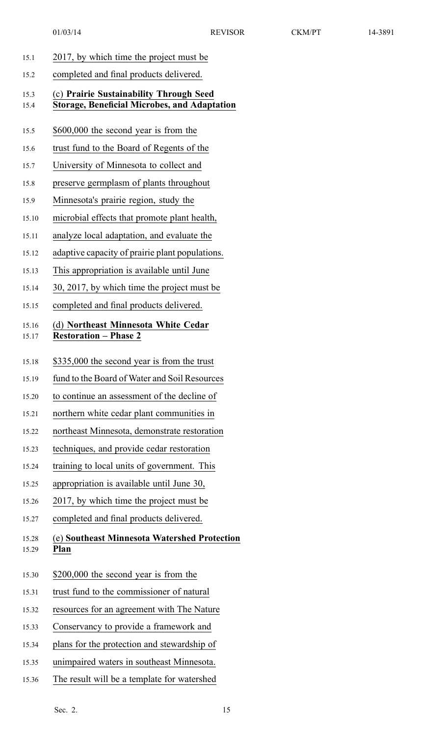| 15.1           | 2017, by which time the project must be                                                        |
|----------------|------------------------------------------------------------------------------------------------|
| 15.2           | completed and final products delivered.                                                        |
| 15.3<br>15.4   | (c) Prairie Sustainability Through Seed<br><b>Storage, Beneficial Microbes, and Adaptation</b> |
| 15.5           | \$600,000 the second year is from the                                                          |
| 15.6           | trust fund to the Board of Regents of the                                                      |
| 15.7           | University of Minnesota to collect and                                                         |
| 15.8           | preserve germplasm of plants throughout                                                        |
| 15.9           | Minnesota's prairie region, study the                                                          |
| 15.10          | microbial effects that promote plant health,                                                   |
| 15.11          | analyze local adaptation, and evaluate the                                                     |
| 15.12          | adaptive capacity of prairie plant populations.                                                |
| 15.13          | This appropriation is available until June                                                     |
| 15.14          | 30, 2017, by which time the project must be                                                    |
| 15.15          | completed and final products delivered.                                                        |
| 15.16<br>15.17 | (d) Northeast Minnesota White Cedar<br><b>Restoration - Phase 2</b>                            |
| 15.18          | \$335,000 the second year is from the trust                                                    |
| 15.19          | fund to the Board of Water and Soil Resources                                                  |
| 15.20          | to continue an assessment of the decline of                                                    |
| 15.21          | northern white cedar plant communities in                                                      |
| 15.22          | northeast Minnesota, demonstrate restoration                                                   |
| 15.23          | techniques, and provide cedar restoration                                                      |
| 15.24          | training to local units of government. This                                                    |
| 15.25          | appropriation is available until June 30,                                                      |
| 15.26          | 2017, by which time the project must be                                                        |
| 15.27          | completed and final products delivered.                                                        |
| 15.28<br>15.29 | (e) Southeast Minnesota Watershed Protection<br>Plan                                           |
| 15.30          | \$200,000 the second year is from the                                                          |
| 15.31          | trust fund to the commissioner of natural                                                      |
| 15.32          | resources for an agreement with The Nature                                                     |
| 15.33          | Conservancy to provide a framework and                                                         |
| 15.34          | plans for the protection and stewardship of                                                    |
| 15.35          | unimpaired waters in southeast Minnesota.                                                      |
| 15.36          | The result will be a template for watershed                                                    |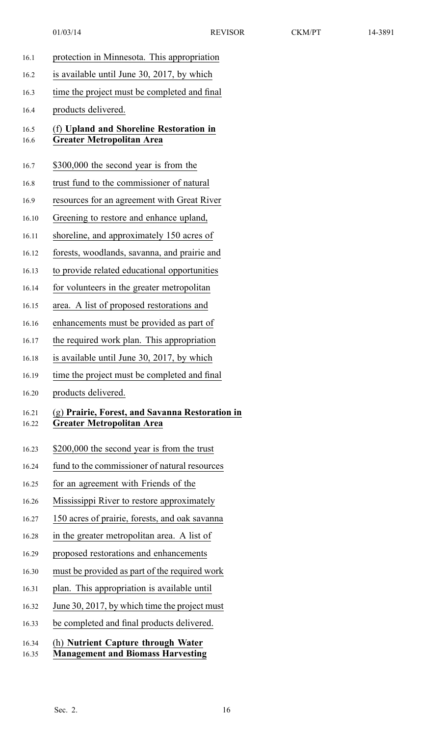| 16.1           | protection in Minnesota. This appropriation                                         |
|----------------|-------------------------------------------------------------------------------------|
| 16.2           | is available until June 30, 2017, by which                                          |
| 16.3           | time the project must be completed and final                                        |
| 16.4           | products delivered.                                                                 |
| 16.5<br>16.6   | (f) Upland and Shoreline Restoration in<br><b>Greater Metropolitan Area</b>         |
| 16.7           | \$300,000 the second year is from the                                               |
| 16.8           | trust fund to the commissioner of natural                                           |
| 16.9           | resources for an agreement with Great River                                         |
| 16.10          | Greening to restore and enhance upland,                                             |
| 16.11          | shoreline, and approximately 150 acres of                                           |
| 16.12          | forests, woodlands, savanna, and prairie and                                        |
| 16.13          | to provide related educational opportunities                                        |
| 16.14          | for volunteers in the greater metropolitan                                          |
| 16.15          | area. A list of proposed restorations and                                           |
| 16.16          | enhancements must be provided as part of                                            |
| 16.17          | the required work plan. This appropriation                                          |
| 16.18          | is available until June 30, 2017, by which                                          |
| 16.19          | time the project must be completed and final                                        |
| 16.20          | products delivered.                                                                 |
| 16.21<br>16.22 | (g) Prairie, Forest, and Savanna Restoration in<br><b>Greater Metropolitan Area</b> |
| 16.23          | \$200,000 the second year is from the trust                                         |
| 16.24          | fund to the commissioner of natural resources                                       |
| 16.25          | for an agreement with Friends of the                                                |
| 16.26          | Mississippi River to restore approximately                                          |
| 16.27          | 150 acres of prairie, forests, and oak savanna                                      |
| 16.28          | in the greater metropolitan area. A list of                                         |
| 16.29          | proposed restorations and enhancements                                              |
| 16.30          | must be provided as part of the required work                                       |
| 16.31          | plan. This appropriation is available until                                         |
| 16.32          | June 30, 2017, by which time the project must                                       |
| 16.33          | be completed and final products delivered.                                          |
| 16.34<br>16.35 | (h) Nutrient Capture through Water<br><b>Management and Biomass Harvesting</b>      |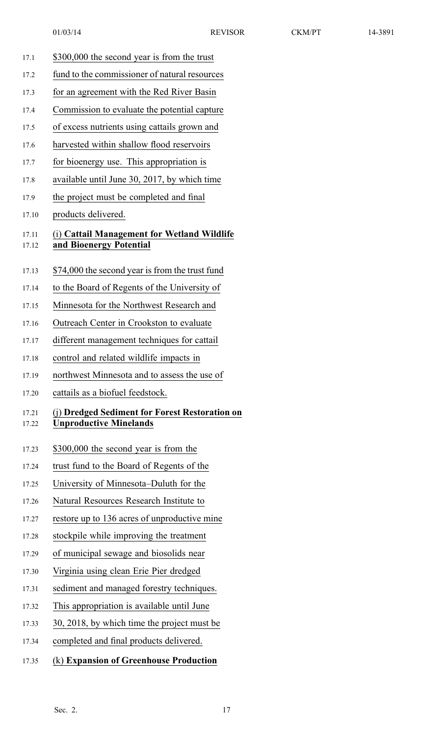17.1 \$300,000 the second year is from the trust 17.2 fund to the commissioner of natural resources 17.3 for an agreemen<sup>t</sup> with the Red River Basin 17.4 Commission to evaluate the potential capture 17.5 of excess nutrients using cattails grown and 17.6 harvested within shallow flood reservoirs 17.7 for bioenergy use. This appropriation is 17.8 available until June 30, 2017, by which time 17.9 the project must be completed and final 17.10 products delivered. 17.11 (i) **Cattail Management for Wetland Wildlife** 17.12 **and Bioenergy Potential** 17.13 \$74,000 the second year is from the trust fund 17.14 to the Board of Regents of the University of 17.15 Minnesota for the Northwest Research and 17.16 Outreach Center in Crookston to evaluate 17.17 different managemen<sup>t</sup> techniques for cattail 17.18 control and related wildlife impacts in 17.19 northwest Minnesota and to assess the use of 17.20 cattails as <sup>a</sup> biofuel feedstock. 17.21 (j) **Dredged Sediment for Forest Restoration on** 17.22 **Unproductive Minelands** 17.23 \$300,000 the second year is from the 17.24 trust fund to the Board of Regents of the 17.25 University of Minnesota–Duluth for the 17.26 Natural Resources Research Institute to 17.27 restore up to 136 acres of unproductive mine 17.28 stockpile while improving the treatment 17.29 of municipal sewage and biosolids near 17.30 Virginia using clean Erie Pier dredged 17.31 sediment and managed forestry techniques. 17.32 This appropriation is available until June 17.33 30, 2018, by which time the project must be 17.34 completed and final products delivered. 17.35 (k) **Expansion of Greenhouse Production**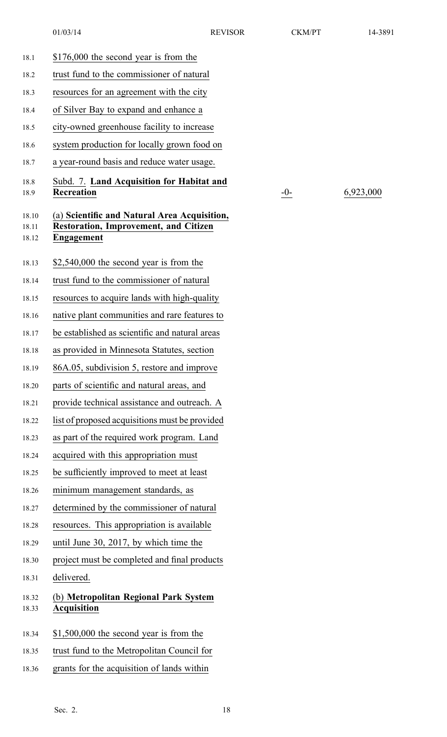| 18.1                    | \$176,000 the second year is from the                                                                             |
|-------------------------|-------------------------------------------------------------------------------------------------------------------|
| 18.2                    | trust fund to the commissioner of natural                                                                         |
| 18.3                    | resources for an agreement with the city                                                                          |
| 18.4                    | of Silver Bay to expand and enhance a                                                                             |
| 18.5                    | city-owned greenhouse facility to increase                                                                        |
| 18.6                    | system production for locally grown food on                                                                       |
| 18.7                    | a year-round basis and reduce water usage.                                                                        |
| 18.8<br>18.9            | Subd. 7. Land Acquisition for Habitat and<br><b>Recreation</b>                                                    |
| 18.10<br>18.11<br>18.12 | (a) Scientific and Natural Area Acquisition,<br><b>Restoration, Improvement, and Citizen</b><br><b>Engagement</b> |
| 18.13                   | $$2,540,000$ the second year is from the                                                                          |
| 18.14                   | trust fund to the commissioner of natural                                                                         |
| 18.15                   | resources to acquire lands with high-quality                                                                      |
| 18.16                   | native plant communities and rare features to                                                                     |
| 18.17                   | be established as scientific and natural areas                                                                    |
| 18.18                   | as provided in Minnesota Statutes, section                                                                        |
| 18.19                   | 86A.05, subdivision 5, restore and improve                                                                        |
| 18.20                   | parts of scientific and natural areas, and                                                                        |
| 18.21                   | provide technical assistance and outreach. A                                                                      |
| 18.22                   | list of proposed acquisitions must be provided                                                                    |
| 18.23                   | as part of the required work program. Land                                                                        |
| 18.24                   | acquired with this appropriation must                                                                             |
| 18.25                   | be sufficiently improved to meet at least                                                                         |
| 18.26                   | minimum management standards, as                                                                                  |
| 18.27                   | determined by the commissioner of natural                                                                         |
| 18.28                   | resources. This appropriation is available                                                                        |
| 18.29                   | until June 30, 2017, by which time the                                                                            |
| 18.30                   | project must be completed and final products                                                                      |
| 18.31                   | delivered.                                                                                                        |
| 18.32<br>18.33          | (b) Metropolitan Regional Park System<br><b>Acquisition</b>                                                       |
| 18.34                   | $$1,500,000$ the second year is from the                                                                          |
| 18.35                   | trust fund to the Metropolitan Council for                                                                        |
| 18.36                   | grants for the acquisition of lands within                                                                        |

10<sup>-0-</sup> 6,923,000

Sec. 2. 18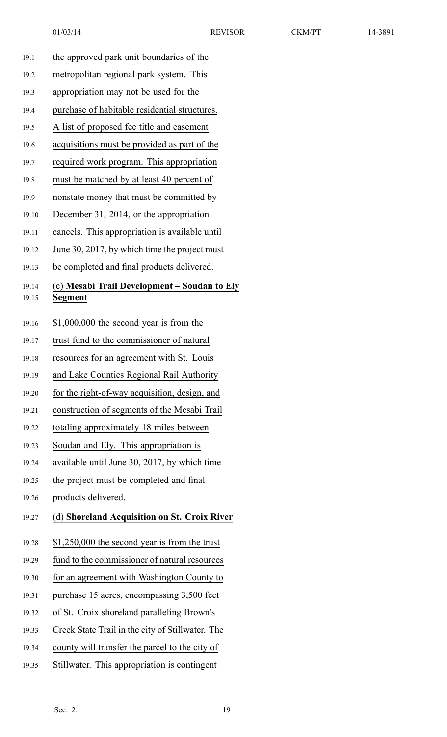| the approved park unit boundaries of the                       |
|----------------------------------------------------------------|
| metropolitan regional park system. This                        |
| appropriation may not be used for the                          |
| purchase of habitable residential structures.                  |
| A list of proposed fee title and easement                      |
| acquisitions must be provided as part of the                   |
| required work program. This appropriation                      |
| must be matched by at least 40 percent of                      |
| nonstate money that must be committed by                       |
| December 31, 2014, or the appropriation                        |
| cancels. This appropriation is available until                 |
| June 30, 2017, by which time the project must                  |
| be completed and final products delivered.                     |
| (c) Mesabi Trail Development – Soudan to Ely<br><b>Segment</b> |
| $$1,000,000$ the second year is from the                       |
| trust fund to the commissioner of natural                      |
| resources for an agreement with St. Louis                      |
| and Lake Counties Regional Rail Authority                      |
| for the right-of-way acquisition, design, and                  |
| construction of segments of the Mesabi Trail                   |
| totaling approximately 18 miles between                        |
| Soudan and Ely. This appropriation is                          |
| available until June 30, 2017, by which time                   |
|                                                                |
|                                                                |
| the project must be completed and final                        |
| products delivered.                                            |
| (d) Shoreland Acquisition on St. Croix River                   |
| $$1,250,000$ the second year is from the trust                 |
| fund to the commissioner of natural resources                  |
| for an agreement with Washington County to                     |
| purchase 15 acres, encompassing 3,500 feet                     |
| of St. Croix shoreland paralleling Brown's                     |
| Creek State Trail in the city of Stillwater. The               |
| county will transfer the parcel to the city of                 |
|                                                                |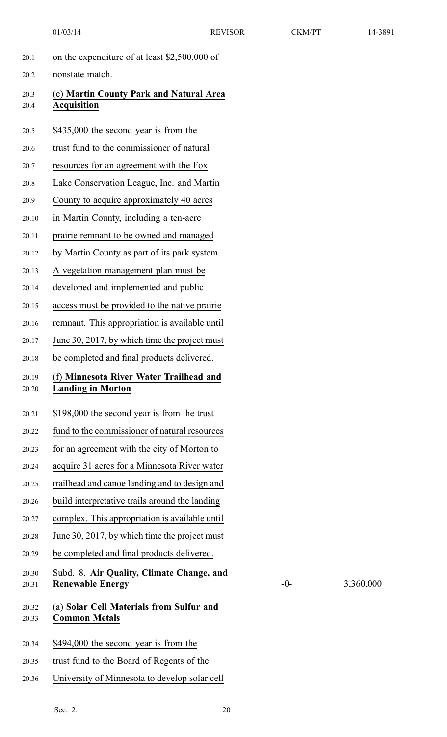| 20.1           | on the expenditure of at least \$2,500,000 of                        |
|----------------|----------------------------------------------------------------------|
| 20.2           | nonstate match.                                                      |
| 20.3<br>20.4   | (e) Martin County Park and Natural Area<br><b>Acquisition</b>        |
| 20.5           | \$435,000 the second year is from the                                |
| 20.6           | trust fund to the commissioner of natural                            |
| 20.7           | resources for an agreement with the Fox                              |
| 20.8           | Lake Conservation League, Inc. and Martin                            |
| 20.9           | County to acquire approximately 40 acres                             |
| 20.10          | in Martin County, including a ten-acre                               |
| 20.11          | prairie remnant to be owned and managed                              |
| 20.12          | by Martin County as part of its park system.                         |
| 20.13          | A vegetation management plan must be                                 |
| 20.14          | developed and implemented and public                                 |
| 20.15          | access must be provided to the native prairie                        |
| 20.16          | remnant. This appropriation is available until                       |
| 20.17          | June 30, 2017, by which time the project must                        |
| 20.18          | be completed and final products delivered.                           |
| 20.19<br>20.20 | (f) Minnesota River Water Trailhead and<br><b>Landing in Morton</b>  |
| 20.21          | \$198,000 the second year is from the trust                          |
| 20.22          | fund to the commissioner of natural resources                        |
| 20.23          | for an agreement with the city of Morton to                          |
| 20.24          | acquire 31 acres for a Minnesota River water                         |
| 20.25          | trailhead and canoe landing and to design and                        |
| 20.26          | build interpretative trails around the landing                       |
| 20.27          | complex. This appropriation is available until                       |
| 20.28          | June 30, 2017, by which time the project must                        |
| 20.29          | be completed and final products delivered.                           |
| 20.30<br>20.31 | Subd. 8. Air Quality, Climate Change, and<br><b>Renewable Energy</b> |
| 20.32<br>20.33 | (a) Solar Cell Materials from Sulfur and<br><b>Common Metals</b>     |
| 20.34          | \$494,000 the second year is from the                                |
| 20.35          | trust fund to the Board of Regents of the                            |
| 20.36          | University of Minnesota to develop solar cell                        |

20.31 **Renewable Energy** -0- 3,360,000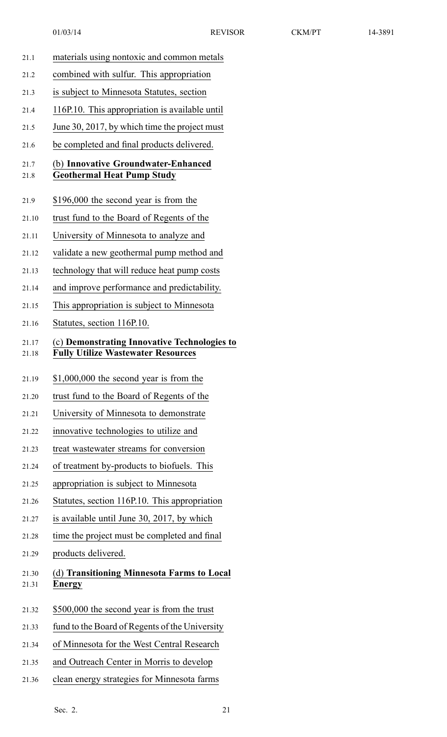- 21.1 materials using nontoxic and common metals 21.2 combined with sulfur. This appropriation 21.3 is subject to Minnesota Statutes, section 21.4 116P.10. This appropriation is available until 21.5 June 30, 2017, by which time the project must 21.6 be completed and final products delivered. 21.7 (b) **Innovative Groundwater-Enhanced** 21.8 **Geothermal Heat Pump Study** 21.9 \$196,000 the second year is from the 21.10 trust fund to the Board of Regents of the 21.11 University of Minnesota to analyze and 21.12 validate <sup>a</sup> new geothermal pump method and 21.13 technology that will reduce heat pump costs 21.14 and improve performance and predictability. 21.15 This appropriation is subject to Minnesota 21.16 Statutes, section 116P.10. 21.17 (c) **Demonstrating Innovative Technologies to** 21.18 **Fully Utilize Wastewater Resources** 21.19 \$1,000,000 the second year is from the 21.20 trust fund to the Board of Regents of the 21.21 University of Minnesota to demonstrate 21.22 innovative technologies to utilize and 21.23 treat wastewater streams for conversion 21.24 of treatment by-products to biofuels. This 21.25 appropriation is subject to Minnesota 21.26 Statutes, section 116P.10. This appropriation 21.27 is available until June 30, 2017, by which 21.28 time the project must be completed and final 21.29 products delivered. 21.30 (d) **Transitioning Minnesota Farms to Local** 21.31 **Energy** 21.32 \$500,000 the second year is from the trust 21.33 fund to the Board of Regents of the University 21.34 of Minnesota for the West Central Research 21.35 and Outreach Center in Morris to develop
- 21.36 clean energy strategies for Minnesota farms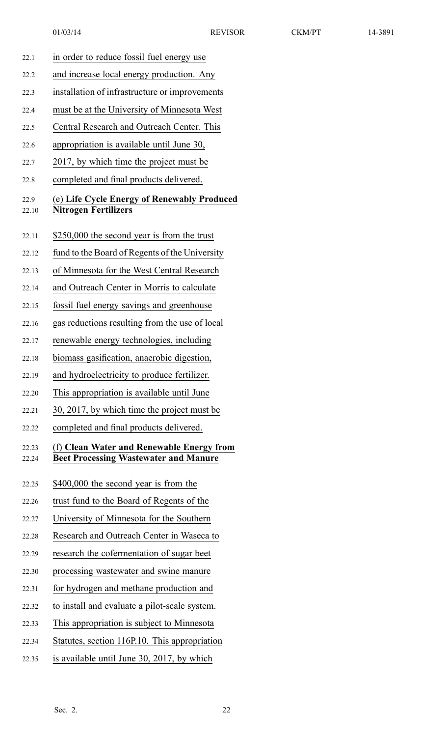| 22.1           | in order to reduce fossil fuel energy use                                                 |
|----------------|-------------------------------------------------------------------------------------------|
| 22.2           | and increase local energy production. Any                                                 |
| 22.3           | installation of infrastructure or improvements                                            |
| 22.4           | must be at the University of Minnesota West                                               |
| 22.5           | Central Research and Outreach Center. This                                                |
| 22.6           | appropriation is available until June 30,                                                 |
| 22.7           | 2017, by which time the project must be                                                   |
| 22.8           | completed and final products delivered.                                                   |
| 22.9<br>22.10  | (e) Life Cycle Energy of Renewably Produced<br><b>Nitrogen Fertilizers</b>                |
| 22.11          | \$250,000 the second year is from the trust                                               |
| 22.12          | fund to the Board of Regents of the University                                            |
| 22.13          | of Minnesota for the West Central Research                                                |
| 22.14          | and Outreach Center in Morris to calculate                                                |
| 22.15          | fossil fuel energy savings and greenhouse                                                 |
| 22.16          | gas reductions resulting from the use of local                                            |
| 22.17          | renewable energy technologies, including                                                  |
| 22.18          | biomass gasification, anaerobic digestion,                                                |
| 22.19          | and hydroelectricity to produce fertilizer.                                               |
| 22.20          | This appropriation is available until June                                                |
| 22.21          | 30, 2017, by which time the project must be                                               |
| 22.22          | completed and final products delivered.                                                   |
| 22.23<br>22.24 | (f) Clean Water and Renewable Energy from<br><b>Beet Processing Wastewater and Manure</b> |
| 22.25          | \$400,000 the second year is from the                                                     |
| 22.26          | trust fund to the Board of Regents of the                                                 |
| 22.27          | University of Minnesota for the Southern                                                  |
| 22.28          | Research and Outreach Center in Waseca to                                                 |
| 22.29          | research the cofermentation of sugar beet                                                 |
| 22.30          | processing wastewater and swine manure                                                    |
| 22.31          | for hydrogen and methane production and                                                   |
| 22.32          | to install and evaluate a pilot-scale system.                                             |
| 22.33          | This appropriation is subject to Minnesota                                                |
| 22.34          | Statutes, section 116P.10. This appropriation                                             |

22.35 is available until June 30, 2017, by which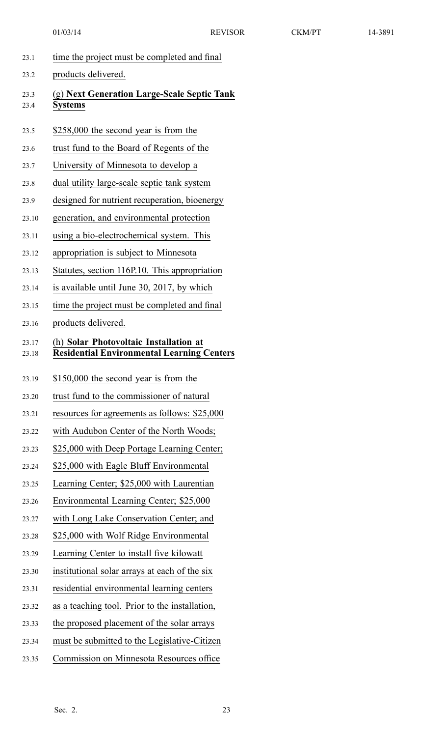| 23.1           | time the project must be completed and final                                                |
|----------------|---------------------------------------------------------------------------------------------|
| 23.2           | products delivered.                                                                         |
| 23.3<br>23.4   | (g) Next Generation Large-Scale Septic Tank<br><b>Systems</b>                               |
| 23.5           | \$258,000 the second year is from the                                                       |
| 23.6           | trust fund to the Board of Regents of the                                                   |
| 23.7           | University of Minnesota to develop a                                                        |
| 23.8           | dual utility large-scale septic tank system                                                 |
| 23.9           | designed for nutrient recuperation, bioenergy                                               |
| 23.10          | generation, and environmental protection                                                    |
| 23.11          | using a bio-electrochemical system. This                                                    |
| 23.12          | appropriation is subject to Minnesota                                                       |
| 23.13          | Statutes, section 116P.10. This appropriation                                               |
| 23.14          | is available until June 30, 2017, by which                                                  |
| 23.15          | time the project must be completed and final                                                |
| 23.16          | products delivered.                                                                         |
| 23.17<br>23.18 | (h) Solar Photovoltaic Installation at<br><b>Residential Environmental Learning Centers</b> |
| 23.19          | \$150,000 the second year is from the                                                       |
| 23.20          | trust fund to the commissioner of natural                                                   |
| 23.21          | resources for agreements as follows: \$25,000                                               |
| 23.22          | with Audubon Center of the North Woods;                                                     |
| 23.23          | \$25,000 with Deep Portage Learning Center;                                                 |
| 23.24          | \$25,000 with Eagle Bluff Environmental                                                     |
| 23.25          | Learning Center; \$25,000 with Laurentian                                                   |
| 23.26          | Environmental Learning Center; \$25,000                                                     |
| 23.27          | with Long Lake Conservation Center; and                                                     |
| 23.28          | \$25,000 with Wolf Ridge Environmental                                                      |
| 23.29          | Learning Center to install five kilowatt                                                    |
| 23.30          | institutional solar arrays at each of the six                                               |
| 23.31          | residential environmental learning centers                                                  |
| 23.32          | as a teaching tool. Prior to the installation,                                              |
| 23.33          | the proposed placement of the solar arrays                                                  |
| 23.34          | must be submitted to the Legislative-Citizen                                                |
| 23.35          | Commission on Minnesota Resources office                                                    |
|                |                                                                                             |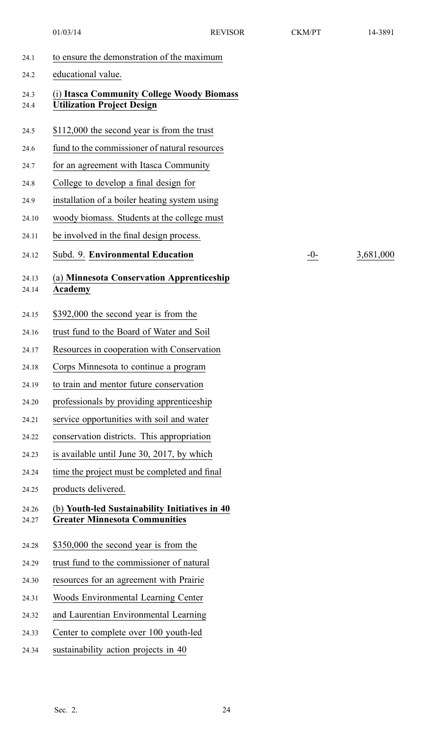24.12 Subd. 9. **Environmental Education** -0- 3,681,000

| 24.1           | to ensure the demonstration of the maximum                                             |
|----------------|----------------------------------------------------------------------------------------|
| 24.2           | educational value.                                                                     |
| 24.3<br>24.4   | (i) Itasca Community College Woody Biomass<br><b>Utilization Project Design</b>        |
| 24.5           | \$112,000 the second year is from the trust                                            |
| 24.6           | fund to the commissioner of natural resources                                          |
| 24.7           | for an agreement with Itasca Community                                                 |
| 24.8           | College to develop a final design for                                                  |
| 24.9           | installation of a boiler heating system using                                          |
| 24.10          | woody biomass. Students at the college must                                            |
| 24.11          | be involved in the final design process.                                               |
| 24.12          | Subd. 9. Environmental Education<br>$-0-$                                              |
| 24.13<br>24.14 | (a) Minnesota Conservation Apprenticeship<br>Academy                                   |
| 24.15          | \$392,000 the second year is from the                                                  |
| 24.16          | trust fund to the Board of Water and Soil                                              |
| 24.17          | Resources in cooperation with Conservation                                             |
| 24.18          | Corps Minnesota to continue a program                                                  |
| 24.19          | to train and mentor future conservation                                                |
| 24.20          | professionals by providing apprenticeship                                              |
| 24.21          | service opportunities with soil and water                                              |
| 24.22          | conservation districts. This appropriation                                             |
| 24.23          | is available until June 30, 2017, by which                                             |
| 24.24          | time the project must be completed and final                                           |
| 24.25          | products delivered.                                                                    |
| 24.26<br>24.27 | (b) Youth-led Sustainability Initiatives in 40<br><b>Greater Minnesota Communities</b> |
| 24.28          | \$350,000 the second year is from the                                                  |
| 24.29          | trust fund to the commissioner of natural                                              |
| 24.30          | resources for an agreement with Prairie                                                |
| 24.31          | Woods Environmental Learning Center                                                    |
| 24.32          | and Laurentian Environmental Learning                                                  |
| 24.33          | Center to complete over 100 youth-led                                                  |
| 24.34          | sustainability action projects in 40                                                   |
|                |                                                                                        |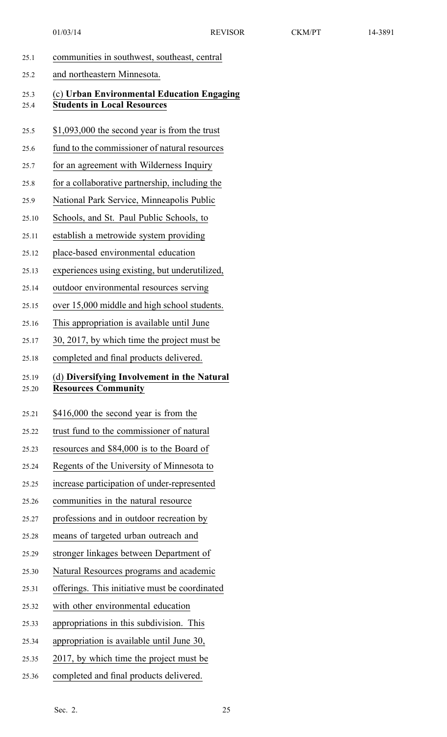| 25.1  | communities in southwest, southeast, central   |
|-------|------------------------------------------------|
| 25.2  | and northeastern Minnesota.                    |
| 25.3  | (c) Urban Environmental Education Engaging     |
| 25.4  | <b>Students in Local Resources</b>             |
| 25.5  | $$1,093,000$ the second year is from the trust |
| 25.6  | fund to the commissioner of natural resources  |
| 25.7  | for an agreement with Wilderness Inquiry       |
| 25.8  | for a collaborative partnership, including the |
| 25.9  | National Park Service, Minneapolis Public      |
| 25.10 | Schools, and St. Paul Public Schools, to       |
| 25.11 | establish a metrowide system providing         |
| 25.12 | place-based environmental education            |
| 25.13 | experiences using existing, but underutilized, |
| 25.14 | outdoor environmental resources serving        |
| 25.15 | over 15,000 middle and high school students.   |
| 25.16 | This appropriation is available until June     |
| 25.17 | 30, 2017, by which time the project must be    |
| 25.18 | completed and final products delivered.        |
| 25.19 | (d) Diversifying Involvement in the Natural    |
| 25.20 | <b>Resources Community</b>                     |
| 25.21 | \$416,000 the second year is from the          |
| 25.22 | trust fund to the commissioner of natural      |
| 25.23 | resources and \$84,000 is to the Board of      |
| 25.24 | Regents of the University of Minnesota to      |
| 25.25 | increase participation of under-represented    |
| 25.26 | communities in the natural resource            |
| 25.27 | professions and in outdoor recreation by       |
| 25.28 | means of targeted urban outreach and           |
| 25.29 | stronger linkages between Department of        |
| 25.30 | Natural Resources programs and academic        |
| 25.31 | offerings. This initiative must be coordinated |
| 25.32 | with other environmental education             |
| 25.33 | appropriations in this subdivision. This       |
| 25.34 | appropriation is available until June 30,      |
| 25.35 | 2017, by which time the project must be        |
|       |                                                |

25.36 completed and final products delivered.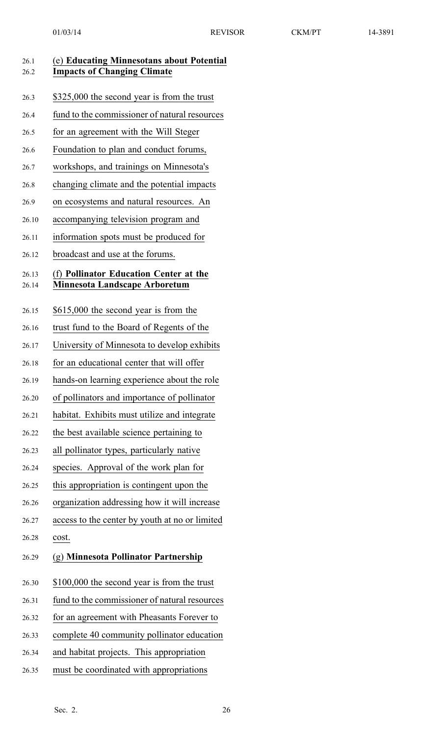| 26.1<br>26.2   | (e) Educating Minnesotans about Potential<br><b>Impacts of Changing Climate</b> |
|----------------|---------------------------------------------------------------------------------|
| 26.3           | \$325,000 the second year is from the trust                                     |
| 26.4           | fund to the commissioner of natural resources                                   |
| 26.5           | for an agreement with the Will Steger                                           |
| 26.6           | Foundation to plan and conduct forums,                                          |
| 26.7           | workshops, and trainings on Minnesota's                                         |
| 26.8           | changing climate and the potential impacts                                      |
| 26.9           | on ecosystems and natural resources. An                                         |
| 26.10          | accompanying television program and                                             |
| 26.11          | information spots must be produced for                                          |
| 26.12          | broadcast and use at the forums.                                                |
| 26.13<br>26.14 | (f) Pollinator Education Center at the<br><b>Minnesota Landscape Arboretum</b>  |
| 26.15          | \$615,000 the second year is from the                                           |
| 26.16          | trust fund to the Board of Regents of the                                       |
| 26.17          | University of Minnesota to develop exhibits                                     |
| 26.18          | for an educational center that will offer                                       |
| 26.19          | hands-on learning experience about the role                                     |
| 26.20          | of pollinators and importance of pollinator                                     |
| 26.21          | habitat. Exhibits must utilize and integrate                                    |
| 26.22          | the best available science pertaining to                                        |
| 26.23          | all pollinator types, particularly native                                       |
| 26.24          | species. Approval of the work plan for                                          |
| 26.25          | this appropriation is contingent upon the                                       |
| 26.26          | organization addressing how it will increase                                    |
| 26.27          | access to the center by youth at no or limited                                  |
| 26.28          | cost.                                                                           |
| 26.29          | (g) Minnesota Pollinator Partnership                                            |
| 26.30          | \$100,000 the second year is from the trust                                     |
| 26.31          | fund to the commissioner of natural resources                                   |
| 26.32          | for an agreement with Pheasants Forever to                                      |
| 26.33          | complete 40 community pollinator education                                      |
| 26.34          | and habitat projects. This appropriation                                        |
| 26.35          | must be coordinated with appropriations                                         |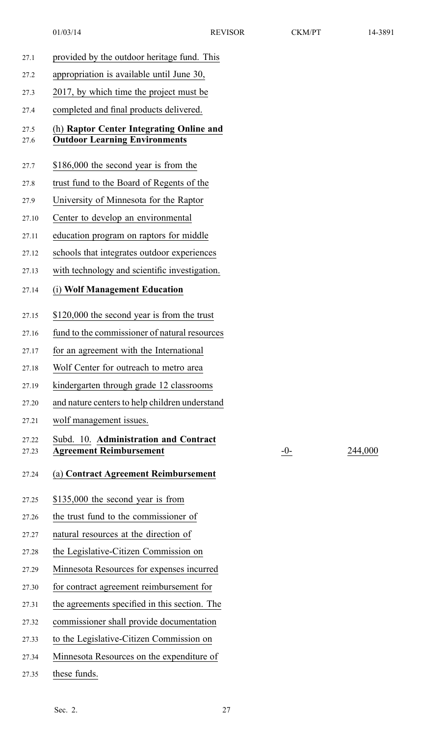| 27.1           | provided by the outdoor heritage fund. This                                      |       |         |
|----------------|----------------------------------------------------------------------------------|-------|---------|
| 27.2           | appropriation is available until June 30,                                        |       |         |
| 27.3           | 2017, by which time the project must be                                          |       |         |
| 27.4           | completed and final products delivered.                                          |       |         |
| 27.5<br>27.6   | (h) Raptor Center Integrating Online and<br><b>Outdoor Learning Environments</b> |       |         |
| 27.7           | \$186,000 the second year is from the                                            |       |         |
| 27.8           | trust fund to the Board of Regents of the                                        |       |         |
| 27.9           | University of Minnesota for the Raptor                                           |       |         |
| 27.10          | Center to develop an environmental                                               |       |         |
| 27.11          | education program on raptors for middle                                          |       |         |
| 27.12          | schools that integrates outdoor experiences                                      |       |         |
| 27.13          | with technology and scientific investigation.                                    |       |         |
| 27.14          | (i) Wolf Management Education                                                    |       |         |
| 27.15          | \$120,000 the second year is from the trust                                      |       |         |
| 27.16          | fund to the commissioner of natural resources                                    |       |         |
| 27.17          | for an agreement with the International                                          |       |         |
| 27.18          | Wolf Center for outreach to metro area                                           |       |         |
| 27.19          | kindergarten through grade 12 classrooms                                         |       |         |
| 27.20          | and nature centers to help children understand                                   |       |         |
| 27.21          | wolf management issues.                                                          |       |         |
| 27.22<br>27.23 | Subd. 10. Administration and Contract<br><b>Agreement Reimbursement</b>          | $-0-$ | 244,000 |
| 27.24          | (a) Contract Agreement Reimbursement                                             |       |         |
| 27.25          | \$135,000 the second year is from                                                |       |         |
| 27.26          | the trust fund to the commissioner of                                            |       |         |
| 27.27          | natural resources at the direction of                                            |       |         |
| 27.28          | the Legislative-Citizen Commission on                                            |       |         |
| 27.29          | Minnesota Resources for expenses incurred                                        |       |         |
| 27.30          | for contract agreement reimbursement for                                         |       |         |
| 27.31          | the agreements specified in this section. The                                    |       |         |
| 27.32          | commissioner shall provide documentation                                         |       |         |
| 27.33          | to the Legislative-Citizen Commission on                                         |       |         |
| 27.34          | Minnesota Resources on the expenditure of                                        |       |         |
| 27.35          | these funds.                                                                     |       |         |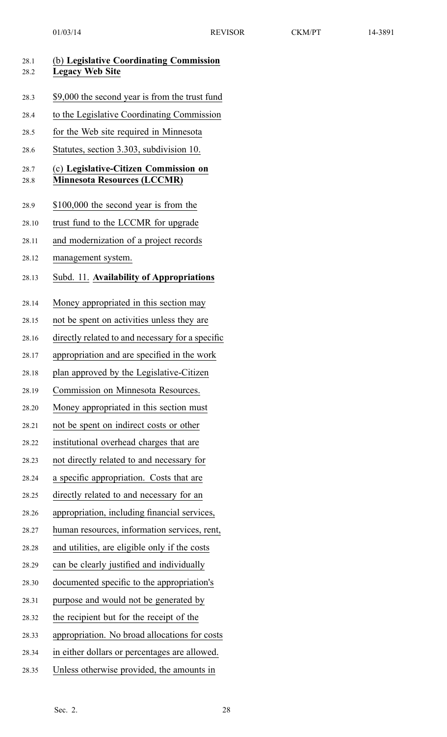| 28.1<br>28.2 | (b) Legislative Coordinating Commission<br><b>Legacy Web Site</b>           |
|--------------|-----------------------------------------------------------------------------|
| 28.3         | \$9,000 the second year is from the trust fund                              |
| 28.4         | to the Legislative Coordinating Commission                                  |
| 28.5         | for the Web site required in Minnesota                                      |
| 28.6         | Statutes, section 3.303, subdivision 10.                                    |
| 28.7<br>28.8 | (c) Legislative-Citizen Commission on<br><b>Minnesota Resources (LCCMR)</b> |
| 28.9         | \$100,000 the second year is from the                                       |
| 28.10        | trust fund to the LCCMR for upgrade                                         |
| 28.11        | and modernization of a project records                                      |
| 28.12        | management system.                                                          |
| 28.13        | Subd. 11. Availability of Appropriations                                    |
| 28.14        | Money appropriated in this section may                                      |
| 28.15        | not be spent on activities unless they are                                  |
| 28.16        | directly related to and necessary for a specific                            |
| 28.17        | appropriation and are specified in the work                                 |
| 28.18        | plan approved by the Legislative-Citizen                                    |
| 28.19        | Commission on Minnesota Resources.                                          |
| 28.20        | Money appropriated in this section must                                     |
| 28.21        | not be spent on indirect costs or other                                     |
| 28.22        | institutional overhead charges that are                                     |
| 28.23        | not directly related to and necessary for                                   |
| 28.24        | a specific appropriation. Costs that are                                    |
| 28.25        | directly related to and necessary for an                                    |
| 28.26        | appropriation, including financial services,                                |
| 28.27        | human resources, information services, rent,                                |
| 28.28        | and utilities, are eligible only if the costs                               |
| 28.29        | can be clearly justified and individually                                   |
| 28.30        | documented specific to the appropriation's                                  |
| 28.31        | purpose and would not be generated by                                       |
| 28.32        | the recipient but for the receipt of the                                    |
| 28.33        | appropriation. No broad allocations for costs                               |
| 28.34        | in either dollars or percentages are allowed.                               |
| 28.35        | Unless otherwise provided, the amounts in                                   |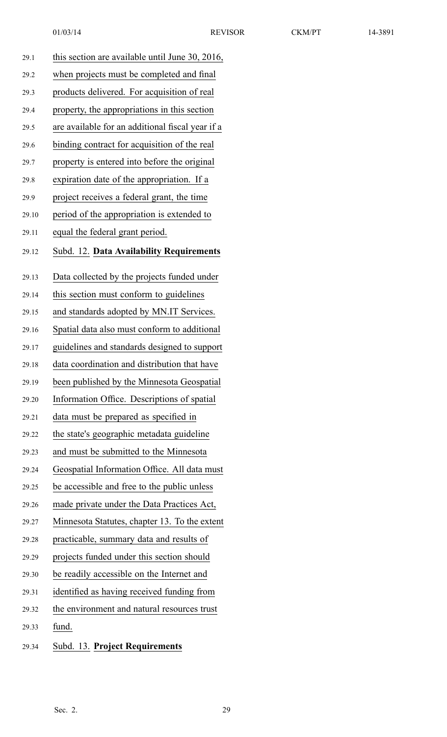| 29.1  | this section are available until June 30, 2016,  |
|-------|--------------------------------------------------|
| 29.2  | when projects must be completed and final        |
| 29.3  | products delivered. For acquisition of real      |
| 29.4  | property, the appropriations in this section     |
| 29.5  | are available for an additional fiscal year if a |
| 29.6  | binding contract for acquisition of the real     |
| 29.7  | property is entered into before the original     |
| 29.8  | expiration date of the appropriation. If a       |
| 29.9  | project receives a federal grant, the time       |
| 29.10 | period of the appropriation is extended to       |
| 29.11 | equal the federal grant period.                  |
| 29.12 | Subd. 12. Data Availability Requirements         |
|       |                                                  |
| 29.13 | Data collected by the projects funded under      |
| 29.14 | this section must conform to guidelines          |
| 29.15 | and standards adopted by MN.IT Services.         |
| 29.16 | Spatial data also must conform to additional     |
| 29.17 | guidelines and standards designed to support     |
| 29.18 | data coordination and distribution that have     |
| 29.19 | been published by the Minnesota Geospatial       |
| 29.20 | Information Office. Descriptions of spatial      |
| 29.21 | data must be prepared as specified in            |
| 29.22 | the state's geographic metadata guideline        |
| 29.23 | and must be submitted to the Minnesota           |
| 29.24 | Geospatial Information Office. All data must     |
| 29.25 | be accessible and free to the public unless      |
| 29.26 | made private under the Data Practices Act,       |
| 29.27 | Minnesota Statutes, chapter 13. To the extent    |
| 29.28 | practicable, summary data and results of         |
| 29.29 | projects funded under this section should        |
| 29.30 | be readily accessible on the Internet and        |
| 29.31 | identified as having received funding from       |
| 29.32 | the environment and natural resources trust      |
| 29.33 | fund.                                            |
| 29.34 | Subd. 13. Project Requirements                   |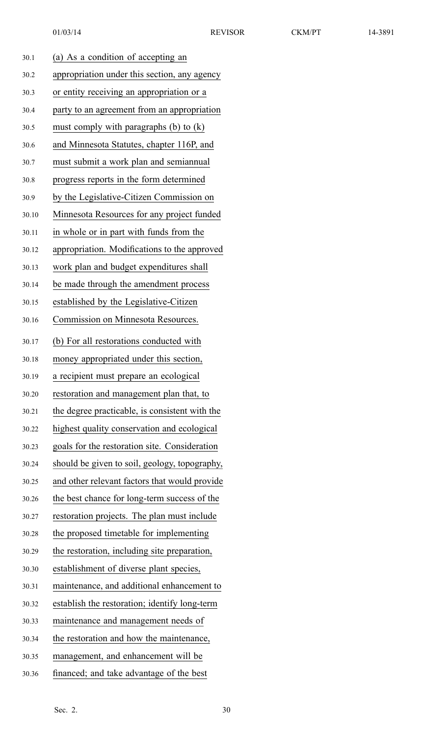| 30.1  | (a) As a condition of accepting an             |
|-------|------------------------------------------------|
| 30.2  | appropriation under this section, any agency   |
| 30.3  | or entity receiving an appropriation or a      |
| 30.4  | party to an agreement from an appropriation    |
| 30.5  | must comply with paragraphs (b) to $(k)$       |
| 30.6  | and Minnesota Statutes, chapter 116P, and      |
| 30.7  | must submit a work plan and semiannual         |
| 30.8  | progress reports in the form determined        |
| 30.9  | by the Legislative-Citizen Commission on       |
| 30.10 | Minnesota Resources for any project funded     |
| 30.11 | in whole or in part with funds from the        |
| 30.12 | appropriation. Modifications to the approved   |
| 30.13 | work plan and budget expenditures shall        |
| 30.14 | be made through the amendment process          |
| 30.15 | established by the Legislative-Citizen         |
| 30.16 | <b>Commission on Minnesota Resources.</b>      |
| 30.17 | (b) For all restorations conducted with        |
| 30.18 | money appropriated under this section,         |
| 30.19 | a recipient must prepare an ecological         |
| 30.20 | restoration and management plan that, to       |
| 30.21 | the degree practicable, is consistent with the |
| 30.22 | highest quality conservation and ecological    |
| 30.23 | goals for the restoration site. Consideration  |
| 30.24 | should be given to soil, geology, topography,  |
| 30.25 | and other relevant factors that would provide  |
| 30.26 | the best chance for long-term success of the   |
| 30.27 | restoration projects. The plan must include    |
| 30.28 | the proposed timetable for implementing        |
| 30.29 | the restoration, including site preparation,   |
| 30.30 | establishment of diverse plant species,        |
| 30.31 | maintenance, and additional enhancement to     |
| 30.32 | establish the restoration; identify long-term  |
| 30.33 | maintenance and management needs of            |
| 30.34 | the restoration and how the maintenance,       |
| 30.35 | management, and enhancement will be            |
| 30.36 | financed; and take advantage of the best       |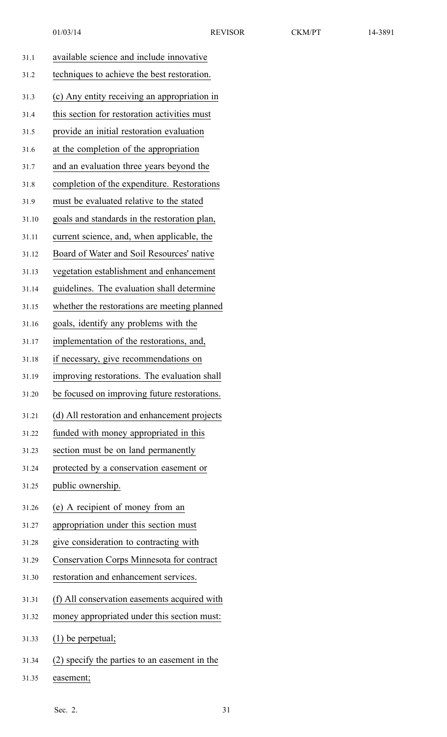| 31.1  | available science and include innovative      |
|-------|-----------------------------------------------|
| 31.2  | techniques to achieve the best restoration.   |
| 31.3  | (c) Any entity receiving an appropriation in  |
| 31.4  | this section for restoration activities must  |
| 31.5  | provide an initial restoration evaluation     |
| 31.6  | at the completion of the appropriation        |
| 31.7  | and an evaluation three years beyond the      |
| 31.8  | completion of the expenditure. Restorations   |
| 31.9  | must be evaluated relative to the stated      |
| 31.10 | goals and standards in the restoration plan,  |
| 31.11 | current science, and, when applicable, the    |
| 31.12 | Board of Water and Soil Resources' native     |
| 31.13 | vegetation establishment and enhancement      |
| 31.14 | guidelines. The evaluation shall determine    |
| 31.15 | whether the restorations are meeting planned  |
| 31.16 | goals, identify any problems with the         |
| 31.17 | implementation of the restorations, and,      |
| 31.18 | if necessary, give recommendations on         |
| 31.19 | improving restorations. The evaluation shall  |
| 31.20 | be focused on improving future restorations.  |
| 31.21 | (d) All restoration and enhancement projects  |
| 31.22 | funded with money appropriated in this        |
| 31.23 | section must be on land permanently           |
| 31.24 | protected by a conservation easement or       |
| 31.25 | public ownership.                             |
| 31.26 | (e) A recipient of money from an              |
| 31.27 | appropriation under this section must         |
| 31.28 | give consideration to contracting with        |
| 31.29 | Conservation Corps Minnesota for contract     |
| 31.30 | restoration and enhancement services.         |
| 31.31 | (f) All conservation easements acquired with  |
| 31.32 | money appropriated under this section must:   |
| 31.33 | $(1)$ be perpetual;                           |
| 31.34 | (2) specify the parties to an easement in the |

31.35 easement;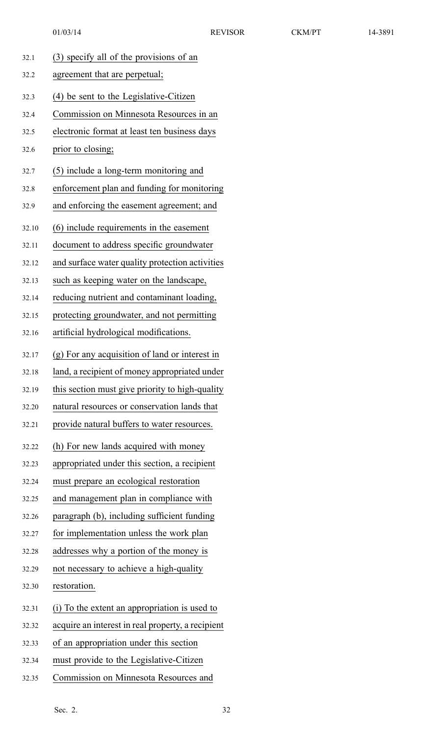|  |  |  |  | 90<br>-7<br>c |  |
|--|--|--|--|---------------|--|
|--|--|--|--|---------------|--|

| 32.1  | (3) specify all of the provisions of an           |
|-------|---------------------------------------------------|
| 32.2  | agreement that are perpetual;                     |
| 32.3  | (4) be sent to the Legislative-Citizen            |
| 32.4  | Commission on Minnesota Resources in an           |
| 32.5  | electronic format at least ten business days      |
| 32.6  | prior to closing;                                 |
| 32.7  | (5) include a long-term monitoring and            |
| 32.8  | enforcement plan and funding for monitoring       |
| 32.9  | and enforcing the easement agreement; and         |
| 32.10 | (6) include requirements in the easement          |
| 32.11 | document to address specific groundwater          |
| 32.12 | and surface water quality protection activities   |
| 32.13 | such as keeping water on the landscape,           |
| 32.14 | reducing nutrient and contaminant loading,        |
| 32.15 | protecting groundwater, and not permitting        |
| 32.16 | artificial hydrological modifications.            |
| 32.17 | (g) For any acquisition of land or interest in    |
| 32.18 | land, a recipient of money appropriated under     |
| 32.19 | this section must give priority to high-quality   |
| 32.20 | natural resources or conservation lands that      |
| 32.21 | provide natural buffers to water resources.       |
| 32.22 | (h) For new lands acquired with money             |
| 32.23 | appropriated under this section, a recipient      |
| 32.24 | must prepare an ecological restoration            |
| 32.25 | and management plan in compliance with            |
| 32.26 | paragraph (b), including sufficient funding       |
| 32.27 | for implementation unless the work plan           |
| 32.28 | addresses why a portion of the money is           |
| 32.29 | not necessary to achieve a high-quality           |
| 32.30 | restoration.                                      |
| 32.31 | (i) To the extent an appropriation is used to     |
| 32.32 | acquire an interest in real property, a recipient |
| 32.33 | of an appropriation under this section            |
| 32.34 | must provide to the Legislative-Citizen           |
| 32.35 | Commission on Minnesota Resources and             |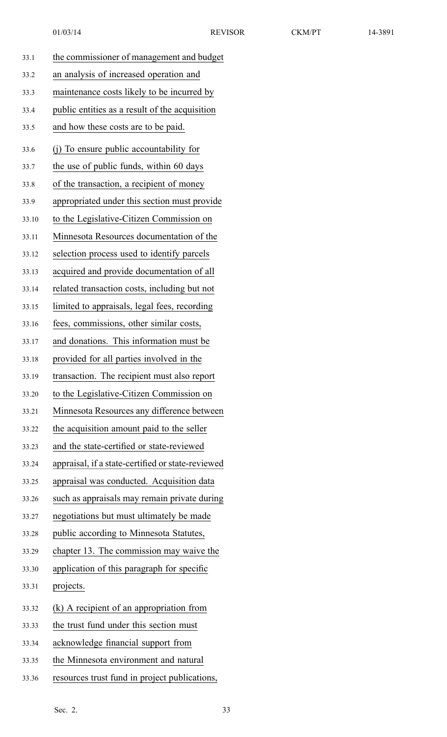| 33.1  | the commissioner of management and budget         |
|-------|---------------------------------------------------|
| 33.2  | an analysis of increased operation and            |
| 33.3  | maintenance costs likely to be incurred by        |
| 33.4  | public entities as a result of the acquisition    |
| 33.5  | and how these costs are to be paid.               |
| 33.6  | (j) To ensure public accountability for           |
| 33.7  | the use of public funds, within 60 days           |
| 33.8  | of the transaction, a recipient of money          |
| 33.9  | appropriated under this section must provide      |
| 33.10 | to the Legislative-Citizen Commission on          |
| 33.11 | Minnesota Resources documentation of the          |
| 33.12 | selection process used to identify parcels        |
| 33.13 | acquired and provide documentation of all         |
| 33.14 | related transaction costs, including but not      |
| 33.15 | limited to appraisals, legal fees, recording      |
| 33.16 | fees, commissions, other similar costs,           |
| 33.17 | and donations. This information must be           |
| 33.18 | provided for all parties involved in the          |
| 33.19 | transaction. The recipient must also report       |
| 33.20 | to the Legislative-Citizen Commission on          |
| 33.21 | Minnesota Resources any difference between        |
| 33.22 | the acquisition amount paid to the seller         |
| 33.23 | and the state-certified or state-reviewed         |
| 33.24 | appraisal, if a state-certified or state-reviewed |
| 33.25 | appraisal was conducted. Acquisition data         |
| 33.26 | such as appraisals may remain private during      |
| 33.27 | negotiations but must ultimately be made          |
| 33.28 | public according to Minnesota Statutes,           |
| 33.29 | chapter 13. The commission may waive the          |
| 33.30 | application of this paragraph for specific        |
| 33.31 | projects.                                         |
| 33.32 | (k) A recipient of an appropriation from          |
| 33.33 | the trust fund under this section must            |
| 33.34 | acknowledge financial support from                |
| 33.35 | the Minnesota environment and natural             |
| 33.36 | resources trust fund in project publications,     |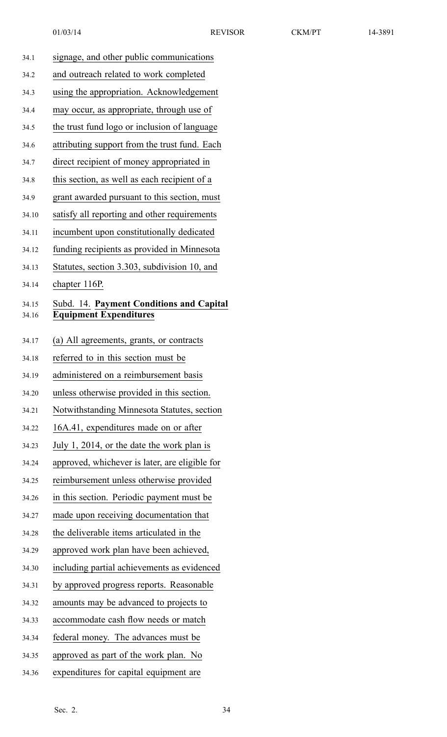| 34.1           | signage, and other public communications                                  |
|----------------|---------------------------------------------------------------------------|
| 34.2           | and outreach related to work completed                                    |
| 34.3           | using the appropriation. Acknowledgement                                  |
| 34.4           | may occur, as appropriate, through use of                                 |
| 34.5           | the trust fund logo or inclusion of language                              |
| 34.6           | attributing support from the trust fund. Each                             |
| 34.7           | direct recipient of money appropriated in                                 |
| 34.8           | this section, as well as each recipient of a                              |
| 34.9           | grant awarded pursuant to this section, must                              |
| 34.10          | satisfy all reporting and other requirements                              |
| 34.11          | incumbent upon constitutionally dedicated                                 |
| 34.12          | funding recipients as provided in Minnesota                               |
| 34.13          | Statutes, section 3.303, subdivision 10, and                              |
| 34.14          | chapter 116P.                                                             |
| 34.15<br>34.16 | Subd. 14. Payment Conditions and Capital<br><b>Equipment Expenditures</b> |
| 34.17          | (a) All agreements, grants, or contracts                                  |
| 34.18          | referred to in this section must be                                       |
| 34.19          | administered on a reimbursement basis                                     |
| 34.20          | unless otherwise provided in this section.                                |
| 34.21          | Notwithstanding Minnesota Statutes, section                               |
| 34.22          | 16A.41, expenditures made on or after                                     |
| 34.23          | July 1, 2014, or the date the work plan is                                |
| 34.24          | approved, whichever is later, are eligible for                            |
| 34.25          | reimbursement unless otherwise provided                                   |
| 34.26          | in this section. Periodic payment must be                                 |
| 34.27          | made upon receiving documentation that                                    |
| 34.28          | the deliverable items articulated in the                                  |
| 34.29          | approved work plan have been achieved,                                    |
| 34.30          | including partial achievements as evidenced                               |
| 34.31          | by approved progress reports. Reasonable                                  |
| 34.32          | amounts may be advanced to projects to                                    |
| 34.33          | accommodate cash flow needs or match                                      |
| 34.34          | federal money. The advances must be                                       |
| 34.35          | approved as part of the work plan. No                                     |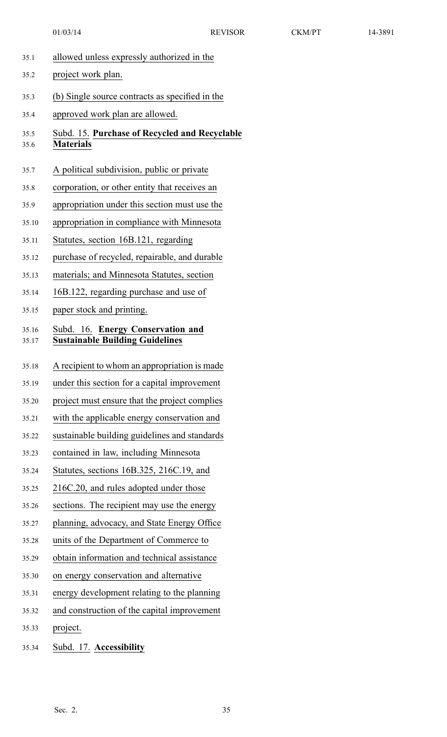| 35.1         | allowed unless expressly authorized in the                        |
|--------------|-------------------------------------------------------------------|
| 35.2         | project work plan.                                                |
| 35.3         | (b) Single source contracts as specified in the                   |
| 35.4         | approved work plan are allowed.                                   |
| 35.5<br>35.6 | Subd. 15. Purchase of Recycled and Recyclable<br><b>Materials</b> |
| 35.7         | A political subdivision, public or private                        |
| 35.8         | corporation, or other entity that receives an                     |
| 35.9         | appropriation under this section must use the                     |
| 35.10        | appropriation in compliance with Minnesota                        |
| 35.11        | Statutes, section 16B.121, regarding                              |
| 35.12        | purchase of recycled, repairable, and durable                     |
| 35.13        | materials; and Minnesota Statutes, section                        |
| 35.14        | 16B.122, regarding purchase and use of                            |
| 35.15        | paper stock and printing.                                         |
| 35.16        | Subd. 16. Energy Conservation and                                 |
| 35.17        | <b>Sustainable Building Guidelines</b>                            |
| 35.18        | A recipient to whom an appropriation is made                      |
| 35.19        | under this section for a capital improvement                      |
| 35.20        | project must ensure that the project complies                     |
| 35.21        | with the applicable energy conservation and                       |
| 35.22        | sustainable building guidelines and standards                     |
| 35.23        | contained in law, including Minnesota                             |
| 35.24        | Statutes, sections 16B.325, 216C.19, and                          |
| 35.25        | 216C.20, and rules adopted under those                            |
| 35.26        | sections. The recipient may use the energy                        |
| 35.27        | planning, advocacy, and State Energy Office                       |
| 35.28        | units of the Department of Commerce to                            |
| 35.29        | obtain information and technical assistance                       |
| 35.30        | on energy conservation and alternative                            |
| 35.31        | energy development relating to the planning                       |
| 35.32        | and construction of the capital improvement                       |
| 35.33        | project.                                                          |
| 35.34        | Subd. 17. Accessibility                                           |
|              |                                                                   |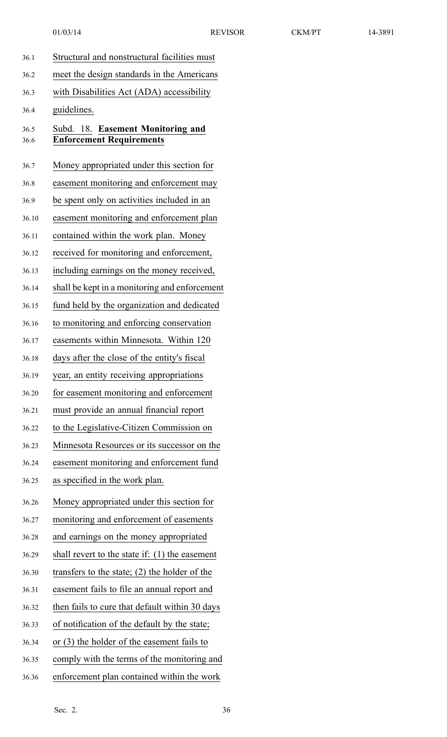| 36.1         | Structural and nonstructural facilities must                         |
|--------------|----------------------------------------------------------------------|
| 36.2         | meet the design standards in the Americans                           |
| 36.3         | with Disabilities Act (ADA) accessibility                            |
| 36.4         | guidelines.                                                          |
| 36.5<br>36.6 | Subd. 18. Easement Monitoring and<br><b>Enforcement Requirements</b> |
| 36.7         | Money appropriated under this section for                            |
| 36.8         | easement monitoring and enforcement may                              |
| 36.9         | be spent only on activities included in an                           |
| 36.10        | easement monitoring and enforcement plan                             |
| 36.11        | contained within the work plan. Money                                |
| 36.12        | received for monitoring and enforcement,                             |
| 36.13        | including earnings on the money received,                            |
| 36.14        | shall be kept in a monitoring and enforcement                        |
| 36.15        | fund held by the organization and dedicated                          |
| 36.16        | to monitoring and enforcing conservation                             |
| 36.17        | easements within Minnesota. Within 120                               |
| 36.18        | days after the close of the entity's fiscal                          |
| 36.19        | year, an entity receiving appropriations                             |
| 36.20        | for easement monitoring and enforcement                              |
| 36.21        | must provide an annual financial report                              |
| 36.22        | to the Legislative-Citizen Commission on                             |
| 36.23        | Minnesota Resources or its successor on the                          |
| 36.24        | easement monitoring and enforcement fund                             |
| 36.25        | as specified in the work plan.                                       |
| 36.26        | Money appropriated under this section for                            |
| 36.27        | monitoring and enforcement of easements                              |
| 36.28        | and earnings on the money appropriated                               |
| 36.29        | shall revert to the state if: $(1)$ the easement                     |
| 36.30        | transfers to the state; $(2)$ the holder of the                      |
| 36.31        | easement fails to file an annual report and                          |
| 36.32        | then fails to cure that default within 30 days                       |
| 36.33        | of notification of the default by the state;                         |
| 36.34        | or $(3)$ the holder of the easement fails to                         |
| 36.35        | comply with the terms of the monitoring and                          |
| 36.36        | enforcement plan contained within the work                           |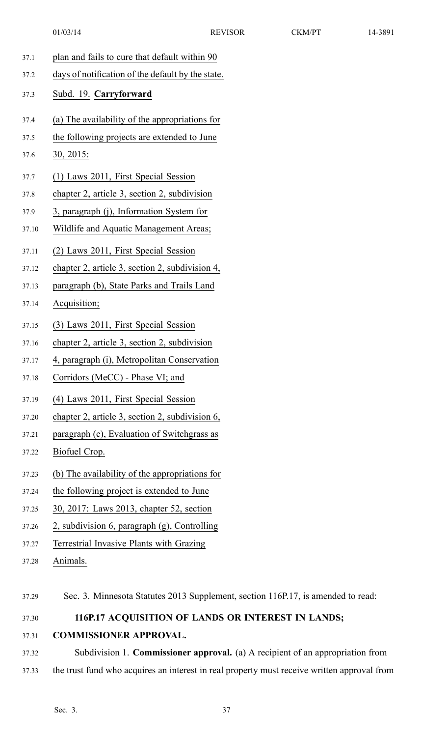- 01/03/14 REVISOR CKM/PT 14-3891 37.1 plan and fails to cure that default within 90 37.2 days of notification of the default by the state. 37.3 Subd. 19. **Carryforward** 37.4 (a) The availability of the appropriations for 37.5 the following projects are extended to June 37.6 30, 2015: 37.7 (1) Laws 2011, First Special Session 37.8 chapter 2, article 3, section 2, subdivision 37.9 3, paragraph (j), Information System for 37.10 Wildlife and Aquatic Management Areas; 37.11 (2) Laws 2011, First Special Session 37.12 chapter 2, article 3, section 2, subdivision 4, 37.13 paragraph (b), State Parks and Trails Land 37.14 Acquisition; 37.15 (3) Laws 2011, First Special Session 37.16 chapter 2, article 3, section 2, subdivision 37.17 4, paragraph (i), Metropolitan Conservation 37.18 Corridors (MeCC) - Phase VI; and 37.19 (4) Laws 2011, First Special Session 37.20 chapter 2, article 3, section 2, subdivision 6, 37.21 paragraph (c), Evaluation of Switchgrass as 37.22 Biofuel Crop. 37.23 (b) The availability of the appropriations for 37.24 the following project is extended to June 37.25 30, 2017: Laws 2013, chapter 52, section
- 37.26 2, subdivision 6, paragraph (g), Controlling
- 37.27 Terrestrial Invasive Plants with Grazing
- 37.28 Animals.
- 37.29 Sec. 3. Minnesota Statutes 2013 Supplement, section 116P.17, is amended to read:

## 37.30 **116P.17 ACQUISITION OF LANDS OR INTEREST IN LANDS;**

- 37.31 **COMMISSIONER APPROVAL.**
- 37.32 Subdivision 1. **Commissioner approval.** (a) A recipient of an appropriation from 37.33 the trust fund who acquires an interest in real property must receive written approval from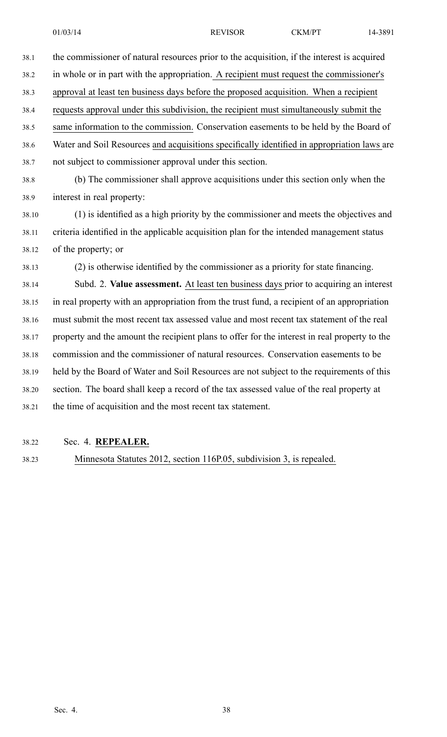38.1 the commissioner of natural resources prior to the acquisition, if the interest is acquired 38.2 in whole or in par<sup>t</sup> with the appropriation. A recipient must reques<sup>t</sup> the commissioner's 38.3 approval at least ten business days before the proposed acquisition. When <sup>a</sup> recipient 38.4 requests approval under this subdivision, the recipient must simultaneously submit the 38.5 same information to the commission. Conservation easements to be held by the Board of 38.6 Water and Soil Resources and acquisitions specifically identified in appropriation laws are 38.7 not subject to commissioner approval under this section. 38.8 (b) The commissioner shall approve acquisitions under this section only when the 38.9 interest in real property: 38.10 (1) is identified as <sup>a</sup> high priority by the commissioner and meets the objectives and 38.11 criteria identified in the applicable acquisition plan for the intended managemen<sup>t</sup> status 38.12 of the property; or 38.13 (2) is otherwise identified by the commissioner as <sup>a</sup> priority for state financing. 38.14 Subd. 2. **Value assessment.** At least ten business days prior to acquiring an interest 38.15 in real property with an appropriation from the trust fund, <sup>a</sup> recipient of an appropriation 38.16 must submit the most recent tax assessed value and most recent tax statement of the real 38.17 property and the amount the recipient plans to offer for the interest in real property to the 38.18 commission and the commissioner of natural resources. Conservation easements to be 38.19 held by the Board of Water and Soil Resources are not subject to the requirements of this 38.20 section. The board shall keep <sup>a</sup> record of the tax assessed value of the real property at

38.21 the time of acquisition and the most recent tax statement.

#### 38.22 Sec. 4. **REPEALER.**

38.23 Minnesota Statutes 2012, section 116P.05, subdivision 3, is repealed.